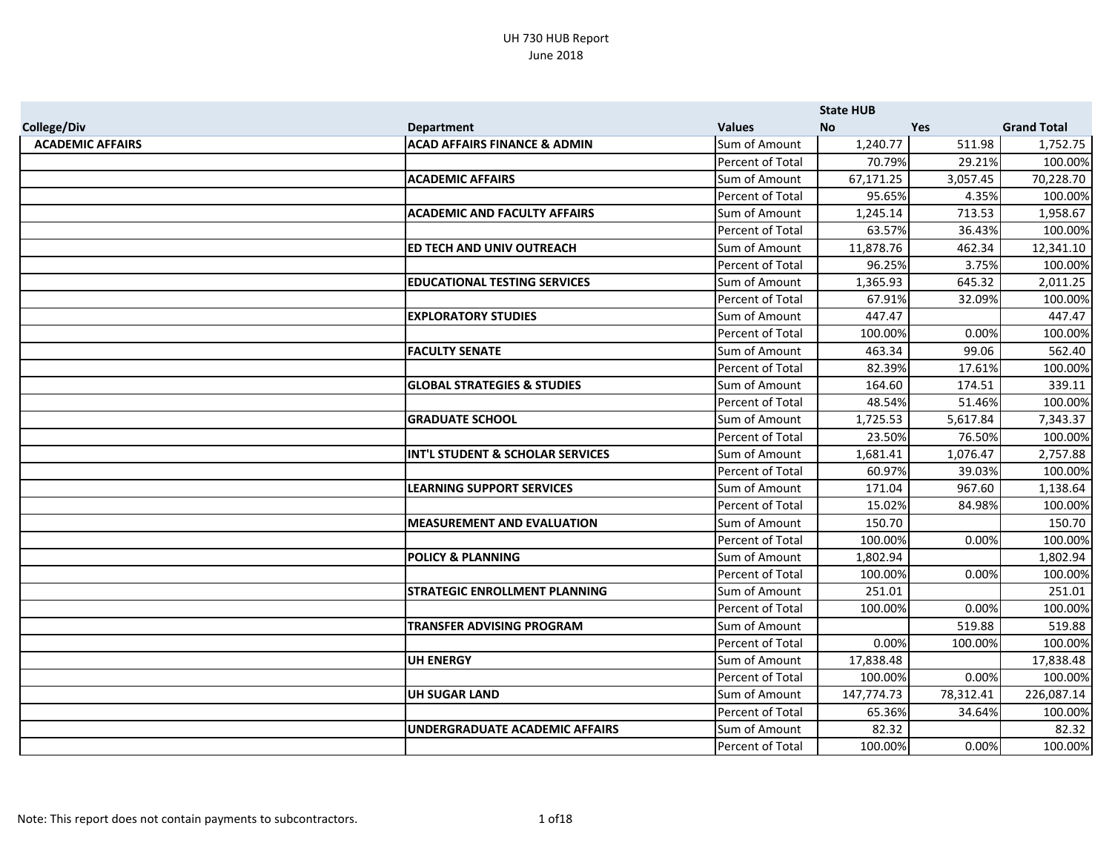|                         |                                         |                  | <b>State HUB</b> |            |                    |
|-------------------------|-----------------------------------------|------------------|------------------|------------|--------------------|
| <b>College/Div</b>      | <b>Department</b>                       | <b>Values</b>    | <b>No</b>        | <b>Yes</b> | <b>Grand Total</b> |
| <b>ACADEMIC AFFAIRS</b> | <b>ACAD AFFAIRS FINANCE &amp; ADMIN</b> | Sum of Amount    | 1,240.77         | 511.98     | 1,752.75           |
|                         |                                         | Percent of Total | 70.79%           | 29.21%     | 100.00%            |
|                         | <b>ACADEMIC AFFAIRS</b>                 | Sum of Amount    | 67,171.25        | 3,057.45   | 70,228.70          |
|                         |                                         | Percent of Total | 95.65%           | 4.35%      | 100.00%            |
|                         | <b>ACADEMIC AND FACULTY AFFAIRS</b>     | Sum of Amount    | 1,245.14         | 713.53     | 1,958.67           |
|                         |                                         | Percent of Total | 63.57%           | 36.43%     | 100.00%            |
|                         | ED TECH AND UNIV OUTREACH               | Sum of Amount    | 11,878.76        | 462.34     | 12,341.10          |
|                         |                                         | Percent of Total | 96.25%           | 3.75%      | 100.00%            |
|                         | <b>EDUCATIONAL TESTING SERVICES</b>     | Sum of Amount    | 1,365.93         | 645.32     | 2,011.25           |
|                         |                                         | Percent of Total | 67.91%           | 32.09%     | 100.00%            |
|                         | <b>EXPLORATORY STUDIES</b>              | Sum of Amount    | 447.47           |            | 447.47             |
|                         |                                         | Percent of Total | 100.00%          | 0.00%      | 100.00%            |
|                         | <b>FACULTY SENATE</b>                   | Sum of Amount    | 463.34           | 99.06      | 562.40             |
|                         |                                         | Percent of Total | 82.39%           | 17.61%     | 100.00%            |
|                         | <b>GLOBAL STRATEGIES &amp; STUDIES</b>  | Sum of Amount    | 164.60           | 174.51     | 339.11             |
|                         |                                         | Percent of Total | 48.54%           | 51.46%     | 100.00%            |
|                         | <b>GRADUATE SCHOOL</b>                  | Sum of Amount    | 1,725.53         | 5,617.84   | 7,343.37           |
|                         |                                         | Percent of Total | 23.50%           | 76.50%     | 100.00%            |
|                         | INT'L STUDENT & SCHOLAR SERVICES        | Sum of Amount    | 1,681.41         | 1,076.47   | 2,757.88           |
|                         |                                         | Percent of Total | 60.97%           | 39.03%     | 100.00%            |
|                         | <b>LEARNING SUPPORT SERVICES</b>        | Sum of Amount    | 171.04           | 967.60     | 1,138.64           |
|                         |                                         | Percent of Total | 15.02%           | 84.98%     | 100.00%            |
|                         | <b>MEASUREMENT AND EVALUATION</b>       | Sum of Amount    | 150.70           |            | 150.70             |
|                         |                                         | Percent of Total | 100.00%          | 0.00%      | 100.00%            |
|                         | <b>POLICY &amp; PLANNING</b>            | Sum of Amount    | 1,802.94         |            | 1,802.94           |
|                         |                                         | Percent of Total | 100.00%          | 0.00%      | 100.00%            |
|                         | <b>STRATEGIC ENROLLMENT PLANNING</b>    | Sum of Amount    | 251.01           |            | 251.01             |
|                         |                                         | Percent of Total | 100.00%          | 0.00%      | 100.00%            |
|                         | <b>TRANSFER ADVISING PROGRAM</b>        | Sum of Amount    |                  | 519.88     | 519.88             |
|                         |                                         | Percent of Total | 0.00%            | 100.00%    | 100.00%            |
|                         | <b>UH ENERGY</b>                        | Sum of Amount    | 17,838.48        |            | 17,838.48          |
|                         |                                         | Percent of Total | 100.00%          | 0.00%      | 100.00%            |
|                         | <b>UH SUGAR LAND</b>                    | Sum of Amount    | 147,774.73       | 78,312.41  | 226,087.14         |
|                         |                                         | Percent of Total | 65.36%           | 34.64%     | 100.00%            |
|                         | <b>UNDERGRADUATE ACADEMIC AFFAIRS</b>   | Sum of Amount    | 82.32            |            | 82.32              |
|                         |                                         | Percent of Total | 100.00%          | 0.00%      | 100.00%            |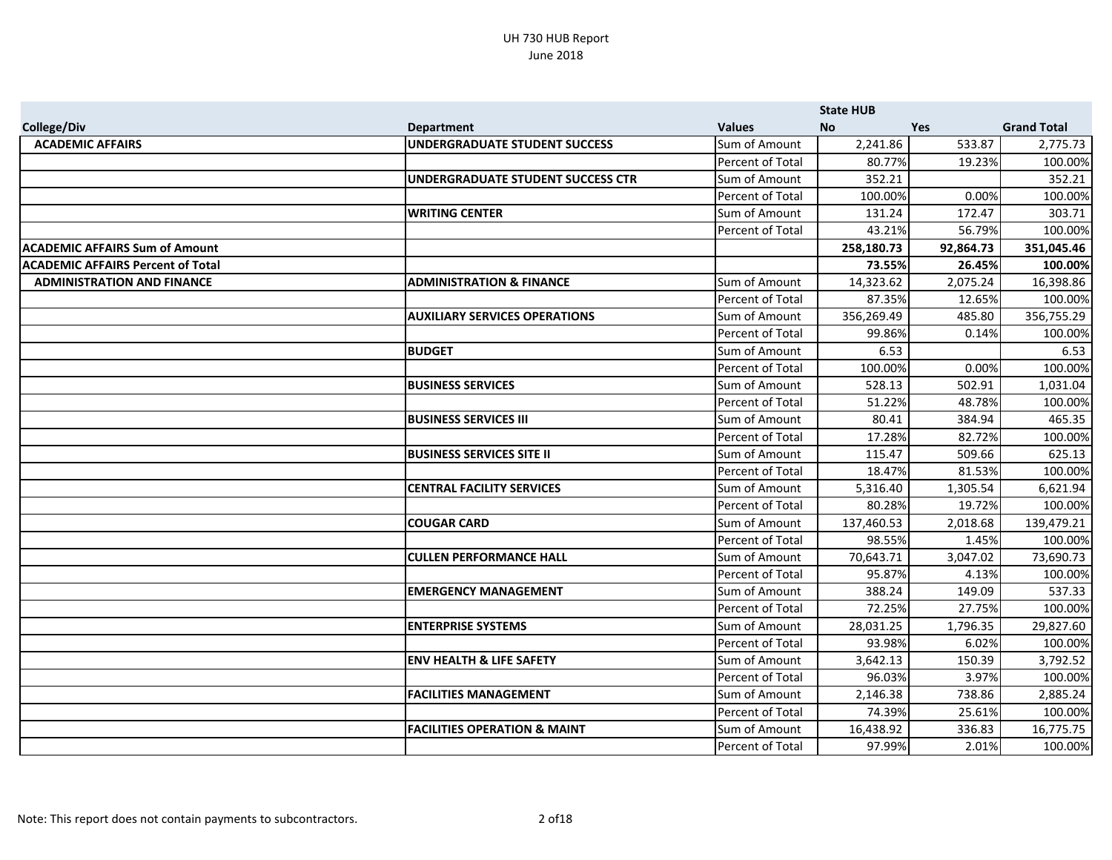|                                          |                                         |                         | <b>State HUB</b> |           |                    |
|------------------------------------------|-----------------------------------------|-------------------------|------------------|-----------|--------------------|
| <b>College/Div</b>                       | <b>Department</b>                       | <b>Values</b>           | <b>No</b>        | Yes       | <b>Grand Total</b> |
| <b>ACADEMIC AFFAIRS</b>                  | UNDERGRADUATE STUDENT SUCCESS           | Sum of Amount           | 2,241.86         | 533.87    | 2,775.73           |
|                                          |                                         | Percent of Total        | 80.77%           | 19.23%    | 100.00%            |
|                                          | UNDERGRADUATE STUDENT SUCCESS CTR       | Sum of Amount           | 352.21           |           | 352.21             |
|                                          |                                         | Percent of Total        | 100.00%          | 0.00%     | 100.00%            |
|                                          | <b>WRITING CENTER</b>                   | Sum of Amount           | 131.24           | 172.47    | 303.71             |
|                                          |                                         | Percent of Total        | 43.21%           | 56.79%    | 100.00%            |
| <b>ACADEMIC AFFAIRS Sum of Amount</b>    |                                         |                         | 258,180.73       | 92,864.73 | 351,045.46         |
| <b>ACADEMIC AFFAIRS Percent of Total</b> |                                         |                         | 73.55%           | 26.45%    | 100.00%            |
| <b>ADMINISTRATION AND FINANCE</b>        | <b>ADMINISTRATION &amp; FINANCE</b>     | Sum of Amount           | 14,323.62        | 2,075.24  | 16,398.86          |
|                                          |                                         | Percent of Total        | 87.35%           | 12.65%    | 100.00%            |
|                                          | <b>AUXILIARY SERVICES OPERATIONS</b>    | Sum of Amount           | 356,269.49       | 485.80    | 356,755.29         |
|                                          |                                         | Percent of Total        | 99.86%           | 0.14%     | 100.00%            |
|                                          | <b>BUDGET</b>                           | Sum of Amount           | 6.53             |           | 6.53               |
|                                          |                                         | Percent of Total        | 100.00%          | 0.00%     | 100.00%            |
|                                          | <b>BUSINESS SERVICES</b>                | Sum of Amount           | 528.13           | 502.91    | 1,031.04           |
|                                          |                                         | Percent of Total        | 51.22%           | 48.78%    | 100.00%            |
|                                          | <b>BUSINESS SERVICES III</b>            | Sum of Amount           | 80.41            | 384.94    | 465.35             |
|                                          |                                         | Percent of Total        | 17.28%           | 82.72%    | 100.00%            |
|                                          | <b>BUSINESS SERVICES SITE II</b>        | Sum of Amount           | 115.47           | 509.66    | 625.13             |
|                                          |                                         | Percent of Total        | 18.47%           | 81.53%    | 100.00%            |
|                                          | <b>CENTRAL FACILITY SERVICES</b>        | Sum of Amount           | 5,316.40         | 1,305.54  | 6,621.94           |
|                                          |                                         | Percent of Total        | 80.28%           | 19.72%    | 100.00%            |
|                                          | <b>COUGAR CARD</b>                      | Sum of Amount           | 137,460.53       | 2,018.68  | 139,479.21         |
|                                          |                                         | Percent of Total        | 98.55%           | 1.45%     | 100.00%            |
|                                          | <b>CULLEN PERFORMANCE HALL</b>          | Sum of Amount           | 70,643.71        | 3,047.02  | 73,690.73          |
|                                          |                                         | Percent of Total        | 95.87%           | 4.13%     | 100.00%            |
|                                          | <b>EMERGENCY MANAGEMENT</b>             | Sum of Amount           | 388.24           | 149.09    | 537.33             |
|                                          |                                         | Percent of Total        | 72.25%           | 27.75%    | 100.00%            |
|                                          | <b>ENTERPRISE SYSTEMS</b>               | Sum of Amount           | 28,031.25        | 1,796.35  | 29,827.60          |
|                                          |                                         | <b>Percent of Total</b> | 93.98%           | 6.02%     | 100.00%            |
|                                          | <b>ENV HEALTH &amp; LIFE SAFETY</b>     | Sum of Amount           | 3,642.13         | 150.39    | 3,792.52           |
|                                          |                                         | Percent of Total        | 96.03%           | 3.97%     | 100.00%            |
|                                          | <b>FACILITIES MANAGEMENT</b>            | Sum of Amount           | 2,146.38         | 738.86    | 2,885.24           |
|                                          |                                         | Percent of Total        | 74.39%           | 25.61%    | 100.00%            |
|                                          | <b>FACILITIES OPERATION &amp; MAINT</b> | Sum of Amount           | 16,438.92        | 336.83    | 16,775.75          |
|                                          |                                         | Percent of Total        | 97.99%           | 2.01%     | 100.00%            |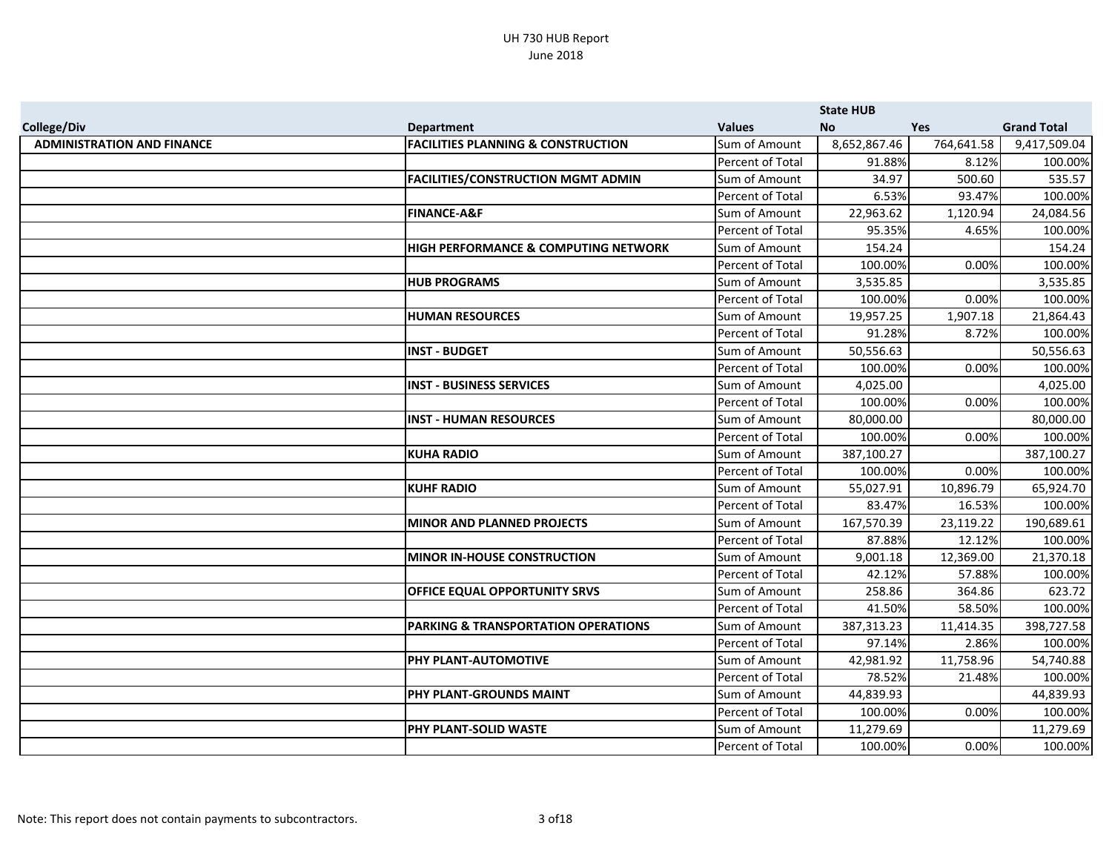|                                   |                                                 |                  | <b>State HUB</b> |            |                    |
|-----------------------------------|-------------------------------------------------|------------------|------------------|------------|--------------------|
| <b>College/Div</b>                | <b>Department</b>                               | <b>Values</b>    | <b>No</b>        | Yes        | <b>Grand Total</b> |
| <b>ADMINISTRATION AND FINANCE</b> | <b>FACILITIES PLANNING &amp; CONSTRUCTION</b>   | Sum of Amount    | 8,652,867.46     | 764,641.58 | 9,417,509.04       |
|                                   |                                                 | Percent of Total | 91.88%           | 8.12%      | 100.00%            |
|                                   | <b>FACILITIES/CONSTRUCTION MGMT ADMIN</b>       | Sum of Amount    | 34.97            | 500.60     | 535.57             |
|                                   |                                                 | Percent of Total | 6.53%            | 93.47%     | 100.00%            |
|                                   | <b>FINANCE-A&amp;F</b>                          | Sum of Amount    | 22,963.62        | 1,120.94   | 24,084.56          |
|                                   |                                                 | Percent of Total | 95.35%           | 4.65%      | 100.00%            |
|                                   | <b>HIGH PERFORMANCE &amp; COMPUTING NETWORK</b> | Sum of Amount    | 154.24           |            | 154.24             |
|                                   |                                                 | Percent of Total | 100.00%          | 0.00%      | 100.00%            |
|                                   | <b>HUB PROGRAMS</b>                             | Sum of Amount    | 3,535.85         |            | 3,535.85           |
|                                   |                                                 | Percent of Total | 100.00%          | 0.00%      | 100.00%            |
|                                   | <b>HUMAN RESOURCES</b>                          | Sum of Amount    | 19,957.25        | 1,907.18   | 21,864.43          |
|                                   |                                                 | Percent of Total | 91.28%           | 8.72%      | 100.00%            |
|                                   | <b>INST - BUDGET</b>                            | Sum of Amount    | 50,556.63        |            | 50,556.63          |
|                                   |                                                 | Percent of Total | 100.00%          | 0.00%      | 100.00%            |
|                                   | <b>INST - BUSINESS SERVICES</b>                 | Sum of Amount    | 4,025.00         |            | 4,025.00           |
|                                   |                                                 | Percent of Total | 100.00%          | 0.00%      | 100.00%            |
|                                   | <b>INST - HUMAN RESOURCES</b>                   | Sum of Amount    | 80,000.00        |            | 80,000.00          |
|                                   |                                                 | Percent of Total | 100.00%          | 0.00%      | 100.00%            |
|                                   | <b>KUHA RADIO</b>                               | Sum of Amount    | 387,100.27       |            | 387,100.27         |
|                                   |                                                 | Percent of Total | 100.00%          | 0.00%      | 100.00%            |
|                                   | <b>KUHF RADIO</b>                               | Sum of Amount    | 55,027.91        | 10,896.79  | 65,924.70          |
|                                   |                                                 | Percent of Total | 83.47%           | 16.53%     | 100.00%            |
|                                   | <b>MINOR AND PLANNED PROJECTS</b>               | Sum of Amount    | 167,570.39       | 23,119.22  | 190,689.61         |
|                                   |                                                 | Percent of Total | 87.88%           | 12.12%     | 100.00%            |
|                                   | <b>MINOR IN-HOUSE CONSTRUCTION</b>              | Sum of Amount    | 9,001.18         | 12,369.00  | 21,370.18          |
|                                   |                                                 | Percent of Total | 42.12%           | 57.88%     | 100.00%            |
|                                   | <b>OFFICE EQUAL OPPORTUNITY SRVS</b>            | Sum of Amount    | 258.86           | 364.86     | 623.72             |
|                                   |                                                 | Percent of Total | 41.50%           | 58.50%     | 100.00%            |
|                                   | PARKING & TRANSPORTATION OPERATIONS             | Sum of Amount    | 387, 313. 23     | 11,414.35  | 398,727.58         |
|                                   |                                                 | Percent of Total | 97.14%           | 2.86%      | 100.00%            |
|                                   | PHY PLANT-AUTOMOTIVE                            | Sum of Amount    | 42,981.92        | 11,758.96  | 54,740.88          |
|                                   |                                                 | Percent of Total | 78.52%           | 21.48%     | 100.00%            |
|                                   | PHY PLANT-GROUNDS MAINT                         | Sum of Amount    | 44,839.93        |            | 44,839.93          |
|                                   |                                                 | Percent of Total | 100.00%          | 0.00%      | 100.00%            |
|                                   | PHY PLANT-SOLID WASTE                           | Sum of Amount    | 11,279.69        |            | 11,279.69          |
|                                   |                                                 | Percent of Total | 100.00%          | 0.00%      | 100.00%            |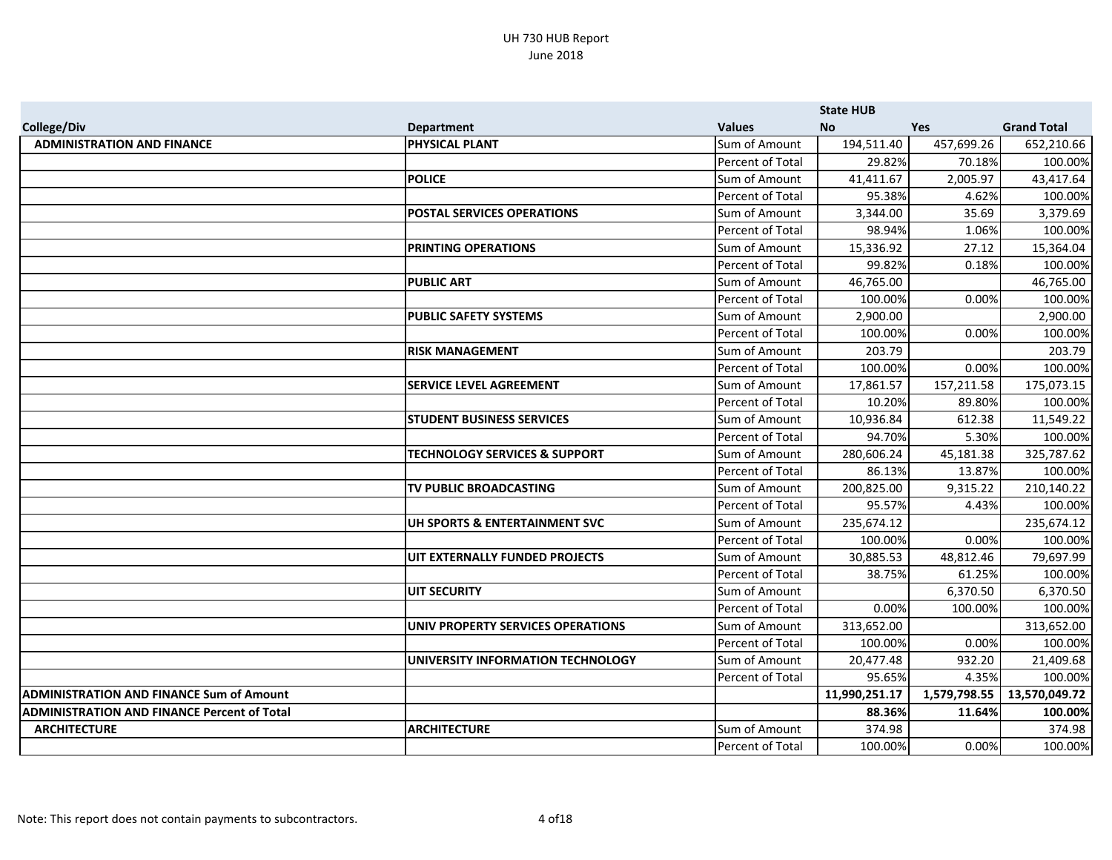|                                                    |                                          |                  | <b>State HUB</b> |              |                    |
|----------------------------------------------------|------------------------------------------|------------------|------------------|--------------|--------------------|
| <b>College/Div</b>                                 | <b>Department</b>                        | <b>Values</b>    | <b>No</b>        | <b>Yes</b>   | <b>Grand Total</b> |
| <b>ADMINISTRATION AND FINANCE</b>                  | <b>PHYSICAL PLANT</b>                    | Sum of Amount    | 194,511.40       | 457,699.26   | 652,210.66         |
|                                                    |                                          | Percent of Total | 29.82%           | 70.18%       | 100.00%            |
|                                                    | <b>POLICE</b>                            | Sum of Amount    | 41,411.67        | 2,005.97     | 43,417.64          |
|                                                    |                                          | Percent of Total | 95.38%           | 4.62%        | 100.00%            |
|                                                    | <b>POSTAL SERVICES OPERATIONS</b>        | Sum of Amount    | 3,344.00         | 35.69        | 3,379.69           |
|                                                    |                                          | Percent of Total | 98.94%           | 1.06%        | 100.00%            |
|                                                    | <b>PRINTING OPERATIONS</b>               | Sum of Amount    | 15,336.92        | 27.12        | 15,364.04          |
|                                                    |                                          | Percent of Total | 99.82%           | 0.18%        | 100.00%            |
|                                                    | <b>PUBLIC ART</b>                        | Sum of Amount    | 46,765.00        |              | 46,765.00          |
|                                                    |                                          | Percent of Total | 100.00%          | 0.00%        | 100.00%            |
|                                                    | <b>PUBLIC SAFETY SYSTEMS</b>             | Sum of Amount    | 2,900.00         |              | 2,900.00           |
|                                                    |                                          | Percent of Total | 100.00%          | 0.00%        | 100.00%            |
|                                                    | <b>RISK MANAGEMENT</b>                   | Sum of Amount    | 203.79           |              | 203.79             |
|                                                    |                                          | Percent of Total | 100.00%          | 0.00%        | 100.00%            |
|                                                    | <b>SERVICE LEVEL AGREEMENT</b>           | Sum of Amount    | 17,861.57        | 157,211.58   | 175,073.15         |
|                                                    |                                          | Percent of Total | 10.20%           | 89.80%       | 100.00%            |
|                                                    | <b>STUDENT BUSINESS SERVICES</b>         | Sum of Amount    | 10,936.84        | 612.38       | 11,549.22          |
|                                                    |                                          | Percent of Total | 94.70%           | 5.30%        | 100.00%            |
|                                                    | <b>TECHNOLOGY SERVICES &amp; SUPPORT</b> | Sum of Amount    | 280,606.24       | 45,181.38    | 325,787.62         |
|                                                    |                                          | Percent of Total | 86.13%           | 13.87%       | 100.00%            |
|                                                    | TV PUBLIC BROADCASTING                   | Sum of Amount    | 200,825.00       | 9,315.22     | 210,140.22         |
|                                                    |                                          | Percent of Total | 95.57%           | 4.43%        | 100.00%            |
|                                                    | UH SPORTS & ENTERTAINMENT SVC            | Sum of Amount    | 235,674.12       |              | 235,674.12         |
|                                                    |                                          | Percent of Total | 100.00%          | 0.00%        | 100.00%            |
|                                                    | UIT EXTERNALLY FUNDED PROJECTS           | Sum of Amount    | 30,885.53        | 48,812.46    | 79,697.99          |
|                                                    |                                          | Percent of Total | 38.75%           | 61.25%       | 100.00%            |
|                                                    | <b>UIT SECURITY</b>                      | Sum of Amount    |                  | 6,370.50     | 6,370.50           |
|                                                    |                                          | Percent of Total | 0.00%            | 100.00%      | 100.00%            |
|                                                    | UNIV PROPERTY SERVICES OPERATIONS        | Sum of Amount    | 313,652.00       |              | 313,652.00         |
|                                                    |                                          | Percent of Total | 100.00%          | 0.00%        | 100.00%            |
|                                                    | UNIVERSITY INFORMATION TECHNOLOGY        | Sum of Amount    | 20,477.48        | 932.20       | 21,409.68          |
|                                                    |                                          | Percent of Total | 95.65%           | 4.35%        | 100.00%            |
| <b>ADMINISTRATION AND FINANCE Sum of Amount</b>    |                                          |                  | 11,990,251.17    | 1,579,798.55 | 13,570,049.72      |
| <b>ADMINISTRATION AND FINANCE Percent of Total</b> |                                          |                  | 88.36%           | 11.64%       | 100.00%            |
| <b>ARCHITECTURE</b>                                | <b>ARCHITECTURE</b>                      | Sum of Amount    | 374.98           |              | 374.98             |
|                                                    |                                          | Percent of Total | 100.00%          | 0.00%        | 100.00%            |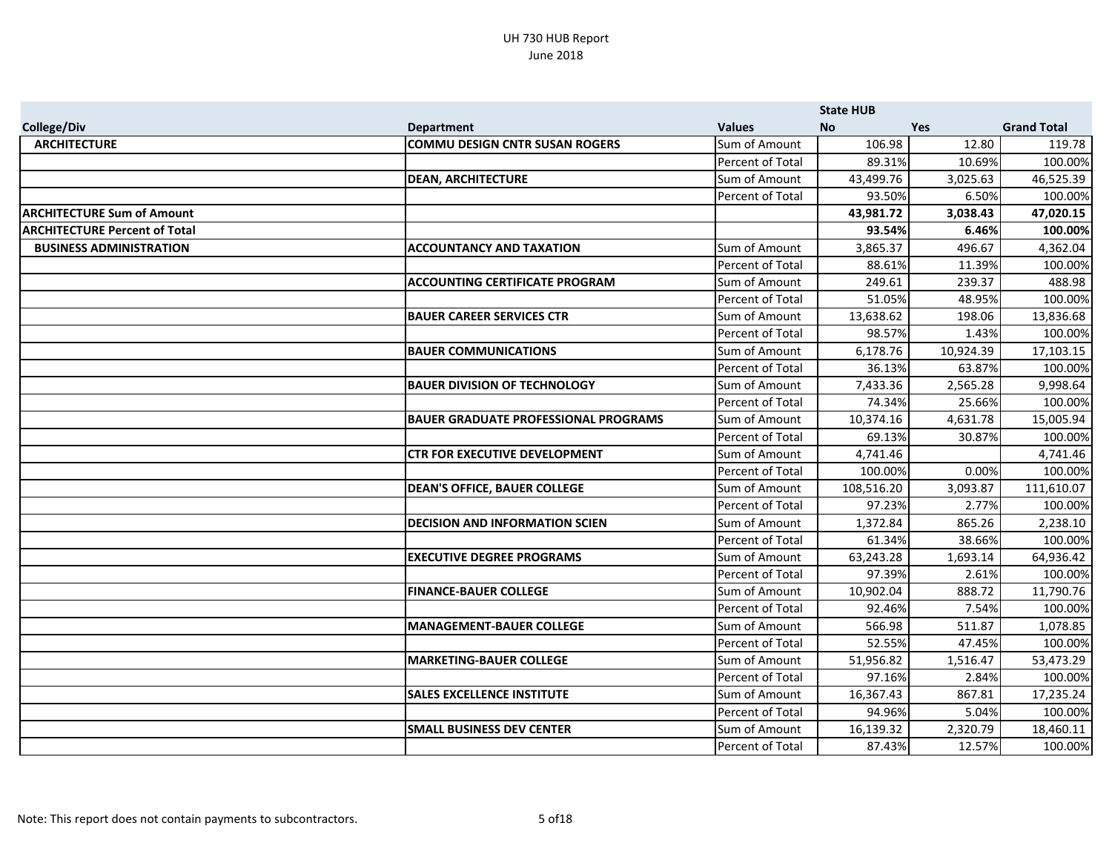|                                      |                                             |                  | <b>State HUB</b> |            |                    |
|--------------------------------------|---------------------------------------------|------------------|------------------|------------|--------------------|
| <b>College/Div</b>                   | <b>Department</b>                           | <b>Values</b>    | No.              | <b>Yes</b> | <b>Grand Total</b> |
| <b>ARCHITECTURE</b>                  | <b>COMMU DESIGN CNTR SUSAN ROGERS</b>       | Sum of Amount    | 106.98           | 12.80      | 119.78             |
|                                      |                                             | Percent of Total | 89.31%           | 10.69%     | 100.00%            |
|                                      | <b>DEAN, ARCHITECTURE</b>                   | Sum of Amount    | 43,499.76        | 3,025.63   | 46,525.39          |
|                                      |                                             | Percent of Total | 93.50%           | 6.50%      | 100.00%            |
| <b>ARCHITECTURE Sum of Amount</b>    |                                             |                  | 43,981.72        | 3,038.43   | 47,020.15          |
| <b>ARCHITECTURE Percent of Total</b> |                                             |                  | 93.54%           | 6.46%      | 100.00%            |
| <b>BUSINESS ADMINISTRATION</b>       | <b>ACCOUNTANCY AND TAXATION</b>             | Sum of Amount    | 3,865.37         | 496.67     | 4,362.04           |
|                                      |                                             | Percent of Total | 88.61%           | 11.39%     | 100.00%            |
|                                      | <b>ACCOUNTING CERTIFICATE PROGRAM</b>       | Sum of Amount    | 249.61           | 239.37     | 488.98             |
|                                      |                                             | Percent of Total | 51.05%           | 48.95%     | 100.00%            |
|                                      | <b>BAUER CAREER SERVICES CTR</b>            | Sum of Amount    | 13,638.62        | 198.06     | 13,836.68          |
|                                      |                                             | Percent of Total | 98.57%           | 1.43%      | 100.00%            |
|                                      | <b>BAUER COMMUNICATIONS</b>                 | Sum of Amount    | 6,178.76         | 10,924.39  | 17,103.15          |
|                                      |                                             | Percent of Total | 36.13%           | 63.87%     | 100.00%            |
|                                      | <b>BAUER DIVISION OF TECHNOLOGY</b>         | Sum of Amount    | 7,433.36         | 2,565.28   | 9,998.64           |
|                                      |                                             | Percent of Total | 74.34%           | 25.66%     | 100.00%            |
|                                      | <b>BAUER GRADUATE PROFESSIONAL PROGRAMS</b> | Sum of Amount    | 10,374.16        | 4,631.78   | 15,005.94          |
|                                      |                                             | Percent of Total | 69.13%           | 30.87%     | 100.00%            |
|                                      | <b>CTR FOR EXECUTIVE DEVELOPMENT</b>        | Sum of Amount    | 4,741.46         |            | 4,741.46           |
|                                      |                                             | Percent of Total | 100.00%          | 0.00%      | 100.00%            |
|                                      | <b>DEAN'S OFFICE, BAUER COLLEGE</b>         | Sum of Amount    | 108,516.20       | 3,093.87   | 111,610.07         |
|                                      |                                             | Percent of Total | 97.23%           | 2.77%      | 100.00%            |
|                                      | <b>DECISION AND INFORMATION SCIEN</b>       | Sum of Amount    | 1,372.84         | 865.26     | 2,238.10           |
|                                      |                                             | Percent of Total | 61.34%           | 38.66%     | 100.00%            |
|                                      | <b>EXECUTIVE DEGREE PROGRAMS</b>            | Sum of Amount    | 63,243.28        | 1,693.14   | 64,936.42          |
|                                      |                                             | Percent of Total | 97.39%           | 2.61%      | 100.00%            |
|                                      | <b>FINANCE-BAUER COLLEGE</b>                | Sum of Amount    | 10,902.04        | 888.72     | 11,790.76          |
|                                      |                                             | Percent of Total | 92.46%           | 7.54%      | 100.00%            |
|                                      | <b>MANAGEMENT-BAUER COLLEGE</b>             | Sum of Amount    | 566.98           | 511.87     | 1,078.85           |
|                                      |                                             | Percent of Total | 52.55%           | 47.45%     | 100.00%            |
|                                      | <b>MARKETING-BAUER COLLEGE</b>              | Sum of Amount    | 51,956.82        | 1,516.47   | 53,473.29          |
|                                      |                                             | Percent of Total | 97.16%           | 2.84%      | 100.00%            |
|                                      | <b>SALES EXCELLENCE INSTITUTE</b>           | Sum of Amount    | 16,367.43        | 867.81     | 17,235.24          |
|                                      |                                             | Percent of Total | 94.96%           | 5.04%      | 100.00%            |
|                                      | <b>SMALL BUSINESS DEV CENTER</b>            | Sum of Amount    | 16,139.32        | 2,320.79   | 18,460.11          |
|                                      |                                             | Percent of Total | 87.43%           | 12.57%     | 100.00%            |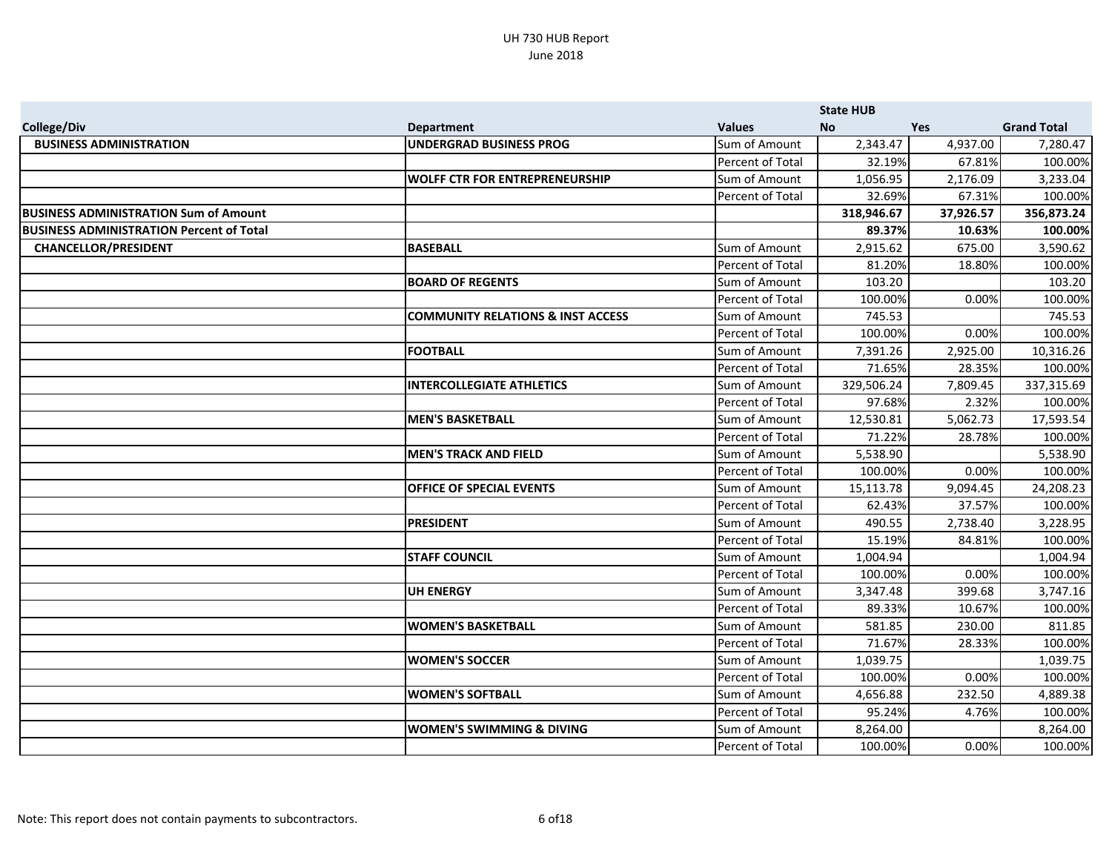|                                                 |                                              |                  | <b>State HUB</b> |           |                    |
|-------------------------------------------------|----------------------------------------------|------------------|------------------|-----------|--------------------|
| <b>College/Div</b>                              | <b>Department</b>                            | <b>Values</b>    | No.              | Yes       | <b>Grand Total</b> |
| <b>BUSINESS ADMINISTRATION</b>                  | <b>UNDERGRAD BUSINESS PROG</b>               | Sum of Amount    | 2,343.47         | 4,937.00  | 7,280.47           |
|                                                 |                                              | Percent of Total | 32.19%           | 67.81%    | 100.00%            |
|                                                 | <b>WOLFF CTR FOR ENTREPRENEURSHIP</b>        | Sum of Amount    | 1,056.95         | 2,176.09  | 3,233.04           |
|                                                 |                                              | Percent of Total | 32.69%           | 67.31%    | 100.00%            |
| <b>BUSINESS ADMINISTRATION Sum of Amount</b>    |                                              |                  | 318,946.67       | 37,926.57 | 356,873.24         |
| <b>BUSINESS ADMINISTRATION Percent of Total</b> |                                              |                  | 89.37%           | 10.63%    | 100.00%            |
| <b>CHANCELLOR/PRESIDENT</b>                     | <b>BASEBALL</b>                              | Sum of Amount    | 2,915.62         | 675.00    | 3,590.62           |
|                                                 |                                              | Percent of Total | 81.20%           | 18.80%    | 100.00%            |
|                                                 | <b>BOARD OF REGENTS</b>                      | Sum of Amount    | 103.20           |           | 103.20             |
|                                                 |                                              | Percent of Total | 100.00%          | 0.00%     | 100.00%            |
|                                                 | <b>COMMUNITY RELATIONS &amp; INST ACCESS</b> | Sum of Amount    | 745.53           |           | 745.53             |
|                                                 |                                              | Percent of Total | 100.00%          | 0.00%     | 100.00%            |
|                                                 | <b>FOOTBALL</b>                              | Sum of Amount    | 7,391.26         | 2,925.00  | 10,316.26          |
|                                                 |                                              | Percent of Total | 71.65%           | 28.35%    | 100.00%            |
|                                                 | <b>INTERCOLLEGIATE ATHLETICS</b>             | Sum of Amount    | 329,506.24       | 7,809.45  | 337,315.69         |
|                                                 |                                              | Percent of Total | 97.68%           | 2.32%     | 100.00%            |
|                                                 | <b>MEN'S BASKETBALL</b>                      | Sum of Amount    | 12,530.81        | 5,062.73  | 17,593.54          |
|                                                 |                                              | Percent of Total | 71.22%           | 28.78%    | 100.00%            |
|                                                 | <b>MEN'S TRACK AND FIELD</b>                 | Sum of Amount    | 5,538.90         |           | 5,538.90           |
|                                                 |                                              | Percent of Total | 100.00%          | 0.00%     | 100.00%            |
|                                                 | <b>OFFICE OF SPECIAL EVENTS</b>              | Sum of Amount    | 15,113.78        | 9,094.45  | 24,208.23          |
|                                                 |                                              | Percent of Total | 62.43%           | 37.57%    | 100.00%            |
|                                                 | <b>PRESIDENT</b>                             | Sum of Amount    | 490.55           | 2,738.40  | 3,228.95           |
|                                                 |                                              | Percent of Total | 15.19%           | 84.81%    | 100.00%            |
|                                                 | <b>STAFF COUNCIL</b>                         | Sum of Amount    | 1,004.94         |           | 1,004.94           |
|                                                 |                                              | Percent of Total | 100.00%          | 0.00%     | 100.00%            |
|                                                 | <b>UH ENERGY</b>                             | Sum of Amount    | 3,347.48         | 399.68    | 3,747.16           |
|                                                 |                                              | Percent of Total | 89.33%           | 10.67%    | 100.00%            |
|                                                 | <b>WOMEN'S BASKETBALL</b>                    | Sum of Amount    | 581.85           | 230.00    | 811.85             |
|                                                 |                                              | Percent of Total | 71.67%           | 28.33%    | 100.00%            |
|                                                 | <b>WOMEN'S SOCCER</b>                        | Sum of Amount    | 1,039.75         |           | 1,039.75           |
|                                                 |                                              | Percent of Total | 100.00%          | 0.00%     | 100.00%            |
|                                                 | <b>WOMEN'S SOFTBALL</b>                      | Sum of Amount    | 4,656.88         | 232.50    | 4,889.38           |
|                                                 |                                              | Percent of Total | 95.24%           | 4.76%     | 100.00%            |
|                                                 | <b>WOMEN'S SWIMMING &amp; DIVING</b>         | Sum of Amount    | 8,264.00         |           | 8,264.00           |
|                                                 |                                              | Percent of Total | 100.00%          | 0.00%     | 100.00%            |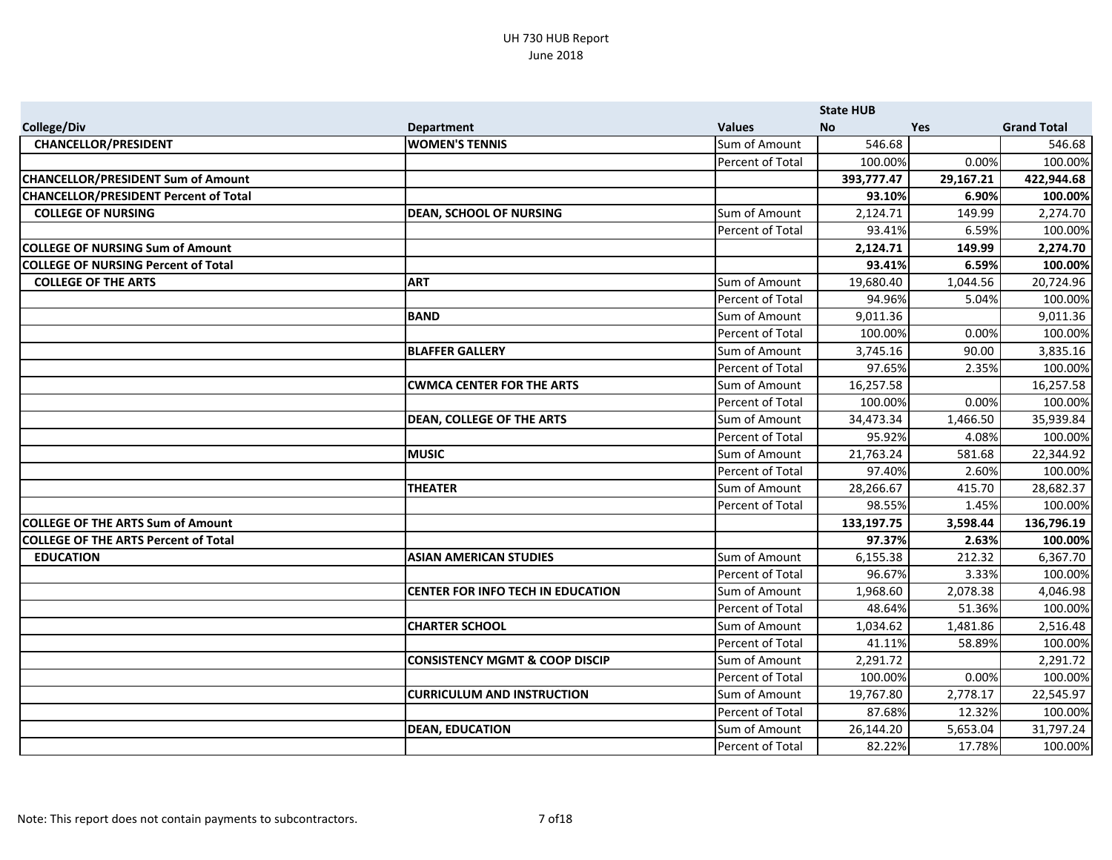|                                              |                                           |                  | <b>State HUB</b> |           |                    |
|----------------------------------------------|-------------------------------------------|------------------|------------------|-----------|--------------------|
| <b>College/Div</b>                           | <b>Department</b>                         | <b>Values</b>    | <b>No</b>        | Yes       | <b>Grand Total</b> |
| <b>CHANCELLOR/PRESIDENT</b>                  | <b>WOMEN'S TENNIS</b>                     | Sum of Amount    | 546.68           |           | 546.68             |
|                                              |                                           | Percent of Total | 100.00%          | 0.00%     | 100.00%            |
| <b>CHANCELLOR/PRESIDENT Sum of Amount</b>    |                                           |                  | 393,777.47       | 29,167.21 | 422,944.68         |
| <b>CHANCELLOR/PRESIDENT Percent of Total</b> |                                           |                  | 93.10%           | 6.90%     | 100.00%            |
| <b>COLLEGE OF NURSING</b>                    | <b>DEAN, SCHOOL OF NURSING</b>            | Sum of Amount    | 2,124.71         | 149.99    | 2,274.70           |
|                                              |                                           | Percent of Total | 93.41%           | 6.59%     | 100.00%            |
| <b>COLLEGE OF NURSING Sum of Amount</b>      |                                           |                  | 2,124.71         | 149.99    | 2,274.70           |
| <b>COLLEGE OF NURSING Percent of Total</b>   |                                           |                  | 93.41%           | 6.59%     | 100.00%            |
| <b>COLLEGE OF THE ARTS</b>                   | <b>ART</b>                                | Sum of Amount    | 19,680.40        | 1,044.56  | 20,724.96          |
|                                              |                                           | Percent of Total | 94.96%           | 5.04%     | 100.00%            |
|                                              | <b>BAND</b>                               | Sum of Amount    | 9,011.36         |           | 9,011.36           |
|                                              |                                           | Percent of Total | 100.00%          | 0.00%     | 100.00%            |
|                                              | <b>BLAFFER GALLERY</b>                    | Sum of Amount    | 3,745.16         | 90.00     | 3,835.16           |
|                                              |                                           | Percent of Total | 97.65%           | 2.35%     | 100.00%            |
|                                              | <b>CWMCA CENTER FOR THE ARTS</b>          | Sum of Amount    | 16,257.58        |           | 16,257.58          |
|                                              |                                           | Percent of Total | 100.00%          | 0.00%     | 100.00%            |
|                                              | <b>DEAN, COLLEGE OF THE ARTS</b>          | Sum of Amount    | 34,473.34        | 1,466.50  | 35,939.84          |
|                                              |                                           | Percent of Total | 95.92%           | 4.08%     | 100.00%            |
|                                              | <b>MUSIC</b>                              | Sum of Amount    | 21,763.24        | 581.68    | 22,344.92          |
|                                              |                                           | Percent of Total | 97.40%           | 2.60%     | 100.00%            |
|                                              | <b>THEATER</b>                            | Sum of Amount    | 28,266.67        | 415.70    | 28,682.37          |
|                                              |                                           | Percent of Total | 98.55%           | 1.45%     | 100.00%            |
| <b>COLLEGE OF THE ARTS Sum of Amount</b>     |                                           |                  | 133,197.75       | 3,598.44  | 136,796.19         |
| <b>COLLEGE OF THE ARTS Percent of Total</b>  |                                           |                  | 97.37%           | 2.63%     | 100.00%            |
| <b>EDUCATION</b>                             | <b>ASIAN AMERICAN STUDIES</b>             | Sum of Amount    | 6,155.38         | 212.32    | 6,367.70           |
|                                              |                                           | Percent of Total | 96.67%           | 3.33%     | 100.00%            |
|                                              | CENTER FOR INFO TECH IN EDUCATION         | Sum of Amount    | 1,968.60         | 2,078.38  | 4,046.98           |
|                                              |                                           | Percent of Total | 48.64%           | 51.36%    | 100.00%            |
|                                              | <b>CHARTER SCHOOL</b>                     | Sum of Amount    | 1,034.62         | 1,481.86  | 2,516.48           |
|                                              |                                           | Percent of Total | 41.11%           | 58.89%    | 100.00%            |
|                                              | <b>CONSISTENCY MGMT &amp; COOP DISCIP</b> | Sum of Amount    | 2,291.72         |           | 2,291.72           |
|                                              |                                           | Percent of Total | 100.00%          | 0.00%     | 100.00%            |
|                                              | <b>CURRICULUM AND INSTRUCTION</b>         | Sum of Amount    | 19,767.80        | 2,778.17  | 22,545.97          |
|                                              |                                           | Percent of Total | 87.68%           | 12.32%    | 100.00%            |
|                                              | <b>DEAN, EDUCATION</b>                    | Sum of Amount    | 26,144.20        | 5,653.04  | 31,797.24          |
|                                              |                                           | Percent of Total | 82.22%           | 17.78%    | 100.00%            |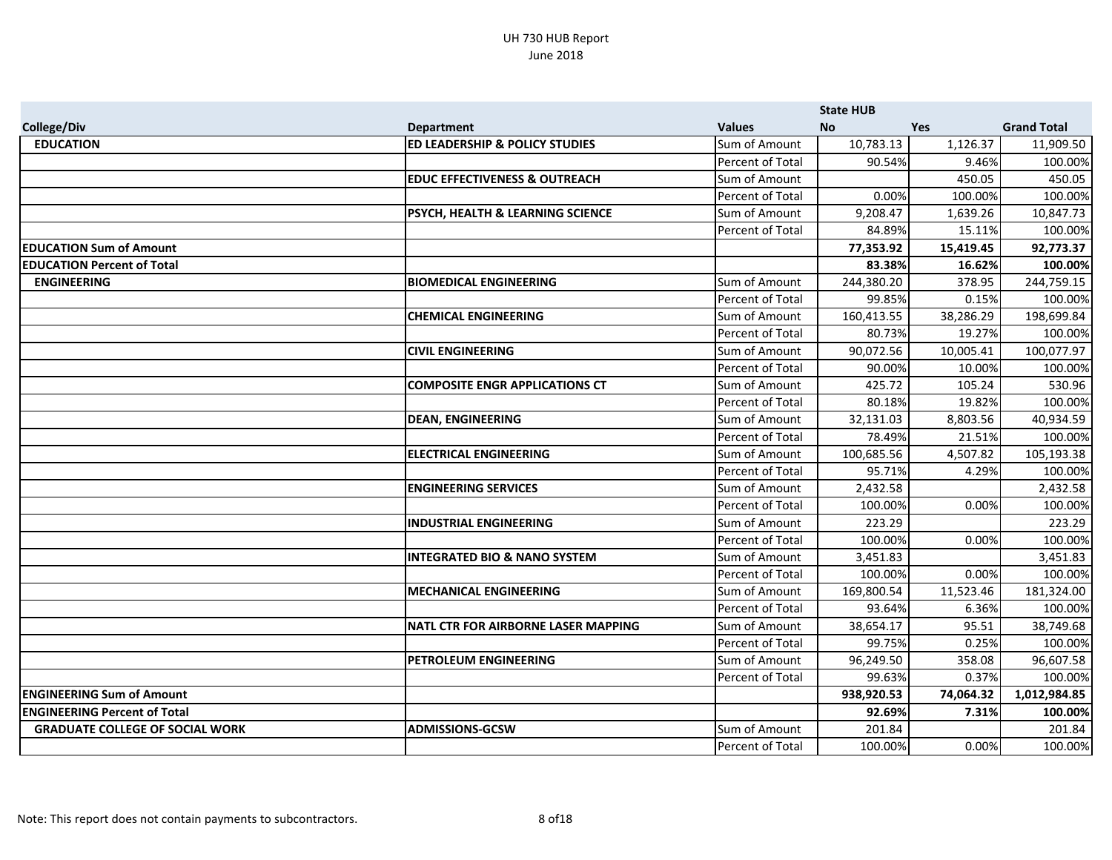|                                        |                                            |                  | <b>State HUB</b> |           |                    |
|----------------------------------------|--------------------------------------------|------------------|------------------|-----------|--------------------|
| <b>College/Div</b>                     | <b>Department</b>                          | <b>Values</b>    | <b>No</b>        | Yes       | <b>Grand Total</b> |
| <b>EDUCATION</b>                       | <b>ED LEADERSHIP &amp; POLICY STUDIES</b>  | Sum of Amount    | 10,783.13        | 1,126.37  | 11,909.50          |
|                                        |                                            | Percent of Total | 90.54%           | 9.46%     | 100.00%            |
|                                        | <b>EDUC EFFECTIVENESS &amp; OUTREACH</b>   | Sum of Amount    |                  | 450.05    | 450.05             |
|                                        |                                            | Percent of Total | 0.00%            | 100.00%   | 100.00%            |
|                                        | PSYCH, HEALTH & LEARNING SCIENCE           | Sum of Amount    | 9,208.47         | 1,639.26  | 10,847.73          |
|                                        |                                            | Percent of Total | 84.89%           | 15.11%    | 100.00%            |
| <b>EDUCATION Sum of Amount</b>         |                                            |                  | 77,353.92        | 15,419.45 | 92,773.37          |
| <b>EDUCATION Percent of Total</b>      |                                            |                  | 83.38%           | 16.62%    | 100.00%            |
| <b>ENGINEERING</b>                     | <b>BIOMEDICAL ENGINEERING</b>              | Sum of Amount    | 244,380.20       | 378.95    | 244,759.15         |
|                                        |                                            | Percent of Total | 99.85%           | 0.15%     | 100.00%            |
|                                        | <b>CHEMICAL ENGINEERING</b>                | Sum of Amount    | 160,413.55       | 38,286.29 | 198,699.84         |
|                                        |                                            | Percent of Total | 80.73%           | 19.27%    | 100.00%            |
|                                        | <b>CIVIL ENGINEERING</b>                   | Sum of Amount    | 90,072.56        | 10,005.41 | 100,077.97         |
|                                        |                                            | Percent of Total | 90.00%           | 10.00%    | 100.00%            |
|                                        | <b>COMPOSITE ENGR APPLICATIONS CT</b>      | Sum of Amount    | 425.72           | 105.24    | 530.96             |
|                                        |                                            | Percent of Total | 80.18%           | 19.82%    | 100.00%            |
|                                        | <b>DEAN, ENGINEERING</b>                   | Sum of Amount    | 32,131.03        | 8,803.56  | 40,934.59          |
|                                        |                                            | Percent of Total | 78.49%           | 21.51%    | 100.00%            |
|                                        | <b>ELECTRICAL ENGINEERING</b>              | Sum of Amount    | 100,685.56       | 4,507.82  | 105,193.38         |
|                                        |                                            | Percent of Total | 95.71%           | 4.29%     | 100.00%            |
|                                        | <b>ENGINEERING SERVICES</b>                | Sum of Amount    | 2,432.58         |           | 2,432.58           |
|                                        |                                            | Percent of Total | 100.00%          | 0.00%     | 100.00%            |
|                                        | <b>INDUSTRIAL ENGINEERING</b>              | Sum of Amount    | 223.29           |           | 223.29             |
|                                        |                                            | Percent of Total | 100.00%          | 0.00%     | 100.00%            |
|                                        | <b>INTEGRATED BIO &amp; NANO SYSTEM</b>    | Sum of Amount    | 3,451.83         |           | 3,451.83           |
|                                        |                                            | Percent of Total | 100.00%          | 0.00%     | 100.00%            |
|                                        | <b>MECHANICAL ENGINEERING</b>              | Sum of Amount    | 169,800.54       | 11,523.46 | 181,324.00         |
|                                        |                                            | Percent of Total | 93.64%           | 6.36%     | 100.00%            |
|                                        | <b>NATL CTR FOR AIRBORNE LASER MAPPING</b> | Sum of Amount    | 38,654.17        | 95.51     | 38,749.68          |
|                                        |                                            | Percent of Total | 99.75%           | 0.25%     | 100.00%            |
|                                        | PETROLEUM ENGINEERING                      | Sum of Amount    | 96,249.50        | 358.08    | 96,607.58          |
|                                        |                                            | Percent of Total | 99.63%           | 0.37%     | 100.00%            |
| <b>ENGINEERING Sum of Amount</b>       |                                            |                  | 938,920.53       | 74,064.32 | 1,012,984.85       |
| <b>ENGINEERING Percent of Total</b>    |                                            |                  | 92.69%           | 7.31%     | 100.00%            |
| <b>GRADUATE COLLEGE OF SOCIAL WORK</b> | <b>ADMISSIONS-GCSW</b>                     | Sum of Amount    | 201.84           |           | 201.84             |
|                                        |                                            | Percent of Total | 100.00%          | 0.00%     | 100.00%            |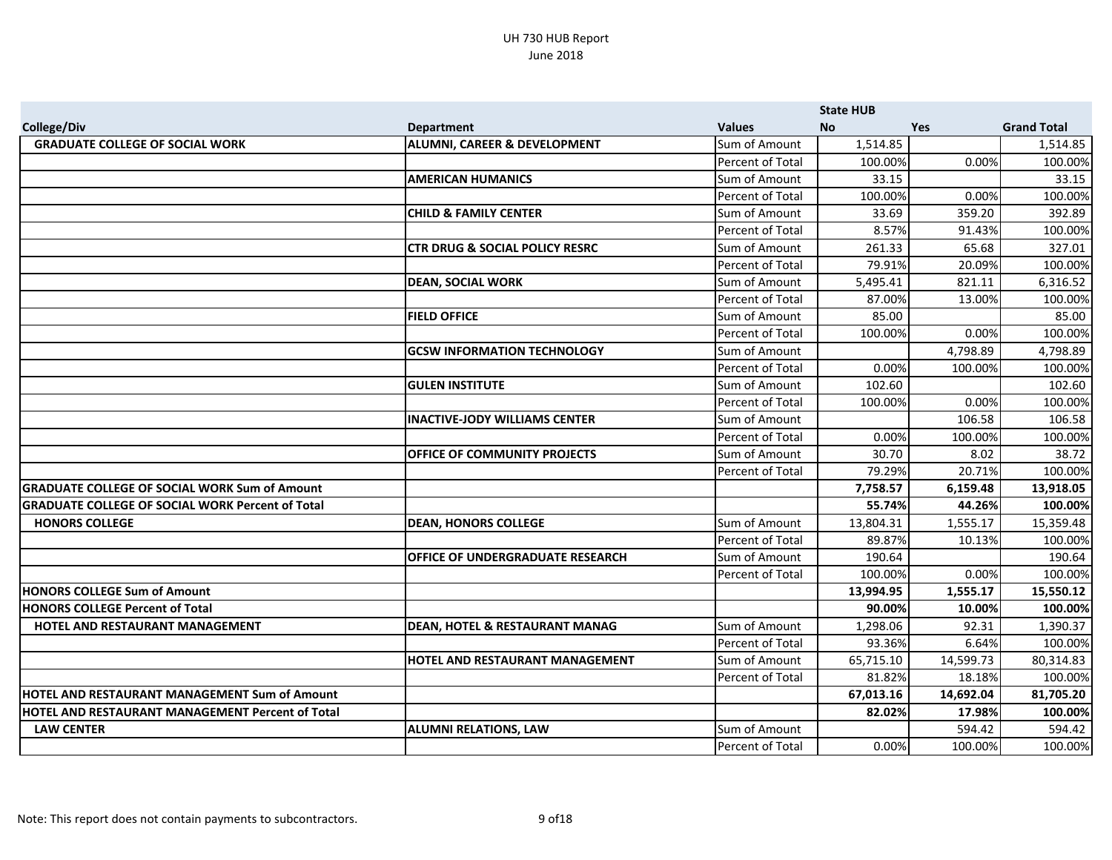|                                                         |                                           |                  | <b>State HUB</b> |            |                    |
|---------------------------------------------------------|-------------------------------------------|------------------|------------------|------------|--------------------|
| <b>College/Div</b>                                      | <b>Department</b>                         | <b>Values</b>    | No.              | <b>Yes</b> | <b>Grand Total</b> |
| <b>GRADUATE COLLEGE OF SOCIAL WORK</b>                  | <b>ALUMNI, CAREER &amp; DEVELOPMENT</b>   | Sum of Amount    | 1,514.85         |            | 1,514.85           |
|                                                         |                                           | Percent of Total | 100.00%          | 0.00%      | 100.00%            |
|                                                         | <b>AMERICAN HUMANICS</b>                  | Sum of Amount    | 33.15            |            | 33.15              |
|                                                         |                                           | Percent of Total | 100.00%          | 0.00%      | 100.00%            |
|                                                         | <b>CHILD &amp; FAMILY CENTER</b>          | Sum of Amount    | 33.69            | 359.20     | 392.89             |
|                                                         |                                           | Percent of Total | 8.57%            | 91.43%     | 100.00%            |
|                                                         | <b>CTR DRUG &amp; SOCIAL POLICY RESRC</b> | Sum of Amount    | 261.33           | 65.68      | 327.01             |
|                                                         |                                           | Percent of Total | 79.91%           | 20.09%     | 100.00%            |
|                                                         | <b>DEAN, SOCIAL WORK</b>                  | Sum of Amount    | 5,495.41         | 821.11     | 6,316.52           |
|                                                         |                                           | Percent of Total | 87.00%           | 13.00%     | 100.00%            |
|                                                         | <b>FIELD OFFICE</b>                       | Sum of Amount    | 85.00            |            | 85.00              |
|                                                         |                                           | Percent of Total | 100.00%          | 0.00%      | 100.00%            |
|                                                         | <b>GCSW INFORMATION TECHNOLOGY</b>        | Sum of Amount    |                  | 4,798.89   | 4,798.89           |
|                                                         |                                           | Percent of Total | 0.00%            | 100.00%    | 100.00%            |
|                                                         | <b>GULEN INSTITUTE</b>                    | Sum of Amount    | 102.60           |            | 102.60             |
|                                                         |                                           | Percent of Total | 100.00%          | 0.00%      | 100.00%            |
|                                                         | <b>INACTIVE-JODY WILLIAMS CENTER</b>      | Sum of Amount    |                  | 106.58     | 106.58             |
|                                                         |                                           | Percent of Total | 0.00%            | 100.00%    | 100.00%            |
|                                                         | OFFICE OF COMMUNITY PROJECTS              | Sum of Amount    | 30.70            | 8.02       | 38.72              |
|                                                         |                                           | Percent of Total | 79.29%           | 20.71%     | 100.00%            |
| <b>GRADUATE COLLEGE OF SOCIAL WORK Sum of Amount</b>    |                                           |                  | 7,758.57         | 6,159.48   | 13,918.05          |
| <b>GRADUATE COLLEGE OF SOCIAL WORK Percent of Total</b> |                                           |                  | 55.74%           | 44.26%     | 100.00%            |
| <b>HONORS COLLEGE</b>                                   | <b>DEAN, HONORS COLLEGE</b>               | Sum of Amount    | 13,804.31        | 1,555.17   | 15,359.48          |
|                                                         |                                           | Percent of Total | 89.87%           | 10.13%     | 100.00%            |
|                                                         | <b>OFFICE OF UNDERGRADUATE RESEARCH</b>   | Sum of Amount    | 190.64           |            | 190.64             |
|                                                         |                                           | Percent of Total | 100.00%          | 0.00%      | 100.00%            |
| <b>HONORS COLLEGE Sum of Amount</b>                     |                                           |                  | 13,994.95        | 1,555.17   | 15,550.12          |
| <b>HONORS COLLEGE Percent of Total</b>                  |                                           |                  | 90.00%           | 10.00%     | 100.00%            |
| HOTEL AND RESTAURANT MANAGEMENT                         | <b>DEAN, HOTEL &amp; RESTAURANT MANAG</b> | Sum of Amount    | 1,298.06         | 92.31      | 1,390.37           |
|                                                         |                                           | Percent of Total | 93.36%           | 6.64%      | 100.00%            |
|                                                         | HOTEL AND RESTAURANT MANAGEMENT           | Sum of Amount    | 65,715.10        | 14,599.73  | 80,314.83          |
|                                                         |                                           | Percent of Total | 81.82%           | 18.18%     | 100.00%            |
| HOTEL AND RESTAURANT MANAGEMENT Sum of Amount           |                                           |                  | 67,013.16        | 14,692.04  | 81,705.20          |
| <b>HOTEL AND RESTAURANT MANAGEMENT Percent of Total</b> |                                           |                  | 82.02%           | 17.98%     | 100.00%            |
| <b>LAW CENTER</b>                                       | <b>ALUMNI RELATIONS, LAW</b>              | Sum of Amount    |                  | 594.42     | 594.42             |
|                                                         |                                           | Percent of Total | 0.00%            | 100.00%    | 100.00%            |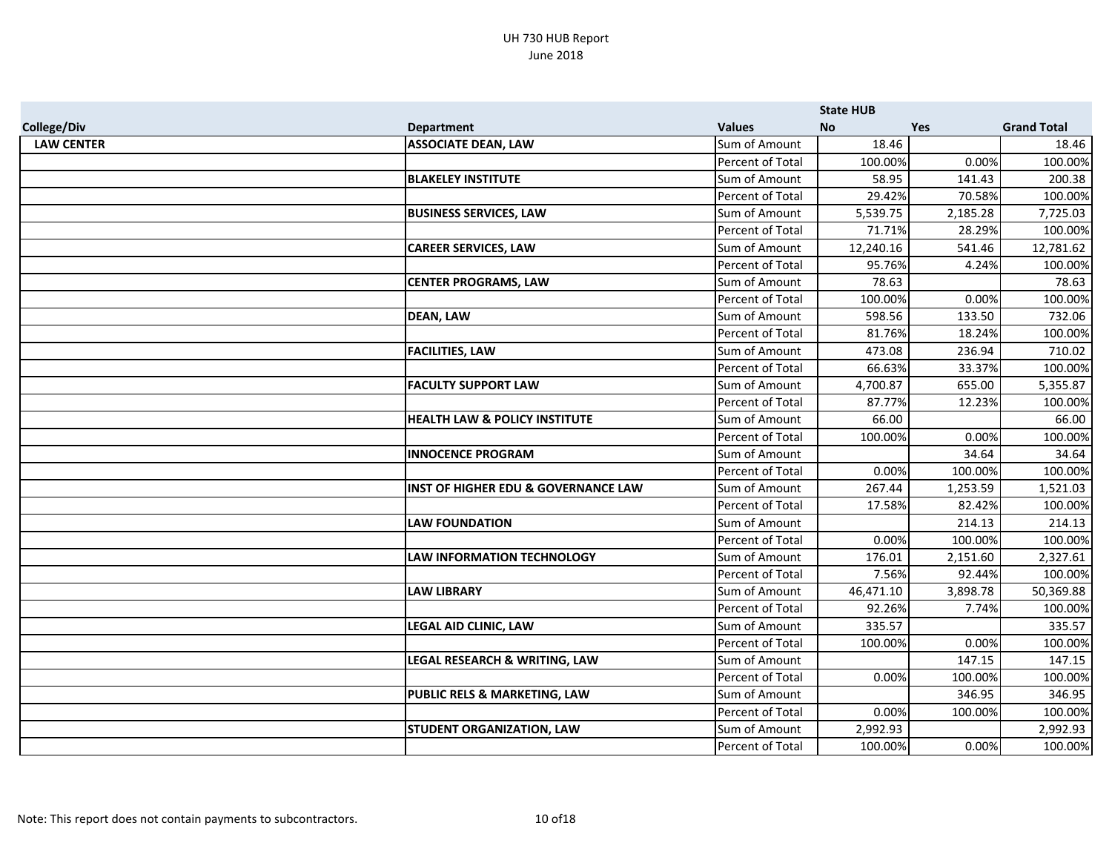|                    |                                                |                  | <b>State HUB</b> |            |                    |
|--------------------|------------------------------------------------|------------------|------------------|------------|--------------------|
| <b>College/Div</b> | <b>Department</b>                              | <b>Values</b>    | No               | <b>Yes</b> | <b>Grand Total</b> |
| <b>LAW CENTER</b>  | <b>ASSOCIATE DEAN, LAW</b>                     | Sum of Amount    | 18.46            |            | 18.46              |
|                    |                                                | Percent of Total | 100.00%          | 0.00%      | 100.00%            |
|                    | <b>BLAKELEY INSTITUTE</b>                      | Sum of Amount    | 58.95            | 141.43     | 200.38             |
|                    |                                                | Percent of Total | 29.42%           | 70.58%     | 100.00%            |
|                    | <b>BUSINESS SERVICES, LAW</b>                  | Sum of Amount    | 5,539.75         | 2,185.28   | 7,725.03           |
|                    |                                                | Percent of Total | 71.71%           | 28.29%     | 100.00%            |
|                    | <b>CAREER SERVICES, LAW</b>                    | Sum of Amount    | 12,240.16        | 541.46     | 12,781.62          |
|                    |                                                | Percent of Total | 95.76%           | 4.24%      | 100.00%            |
|                    | <b>CENTER PROGRAMS, LAW</b>                    | Sum of Amount    | 78.63            |            | 78.63              |
|                    |                                                | Percent of Total | 100.00%          | 0.00%      | 100.00%            |
|                    | <b>DEAN, LAW</b>                               | Sum of Amount    | 598.56           | 133.50     | 732.06             |
|                    |                                                | Percent of Total | 81.76%           | 18.24%     | 100.00%            |
|                    | <b>FACILITIES, LAW</b>                         | Sum of Amount    | 473.08           | 236.94     | 710.02             |
|                    |                                                | Percent of Total | 66.63%           | 33.37%     | 100.00%            |
|                    | <b>FACULTY SUPPORT LAW</b>                     | Sum of Amount    | 4,700.87         | 655.00     | 5,355.87           |
|                    |                                                | Percent of Total | 87.77%           | 12.23%     | 100.00%            |
|                    | <b>HEALTH LAW &amp; POLICY INSTITUTE</b>       | Sum of Amount    | 66.00            |            | 66.00              |
|                    |                                                | Percent of Total | 100.00%          | 0.00%      | 100.00%            |
|                    | <b>INNOCENCE PROGRAM</b>                       | Sum of Amount    |                  | 34.64      | 34.64              |
|                    |                                                | Percent of Total | 0.00%            | 100.00%    | 100.00%            |
|                    | <b>INST OF HIGHER EDU &amp; GOVERNANCE LAW</b> | Sum of Amount    | 267.44           | 1,253.59   | 1,521.03           |
|                    |                                                | Percent of Total | 17.58%           | 82.42%     | 100.00%            |
|                    | <b>LAW FOUNDATION</b>                          | Sum of Amount    |                  | 214.13     | 214.13             |
|                    |                                                | Percent of Total | 0.00%            | 100.00%    | 100.00%            |
|                    | <b>LAW INFORMATION TECHNOLOGY</b>              | Sum of Amount    | 176.01           | 2,151.60   | 2,327.61           |
|                    |                                                | Percent of Total | 7.56%            | 92.44%     | 100.00%            |
|                    | <b>LAW LIBRARY</b>                             | Sum of Amount    | 46,471.10        | 3,898.78   | 50,369.88          |
|                    |                                                | Percent of Total | 92.26%           | 7.74%      | 100.00%            |
|                    | <b>LEGAL AID CLINIC, LAW</b>                   | Sum of Amount    | 335.57           |            | 335.57             |
|                    |                                                | Percent of Total | 100.00%          | 0.00%      | 100.00%            |
|                    | LEGAL RESEARCH & WRITING, LAW                  | Sum of Amount    |                  | 147.15     | 147.15             |
|                    |                                                | Percent of Total | 0.00%            | 100.00%    | 100.00%            |
|                    | <b>PUBLIC RELS &amp; MARKETING, LAW</b>        | Sum of Amount    |                  | 346.95     | 346.95             |
|                    |                                                | Percent of Total | 0.00%            | 100.00%    | 100.00%            |
|                    | <b>STUDENT ORGANIZATION, LAW</b>               | Sum of Amount    | 2,992.93         |            | 2,992.93           |
|                    |                                                | Percent of Total | 100.00%          | 0.00%      | 100.00%            |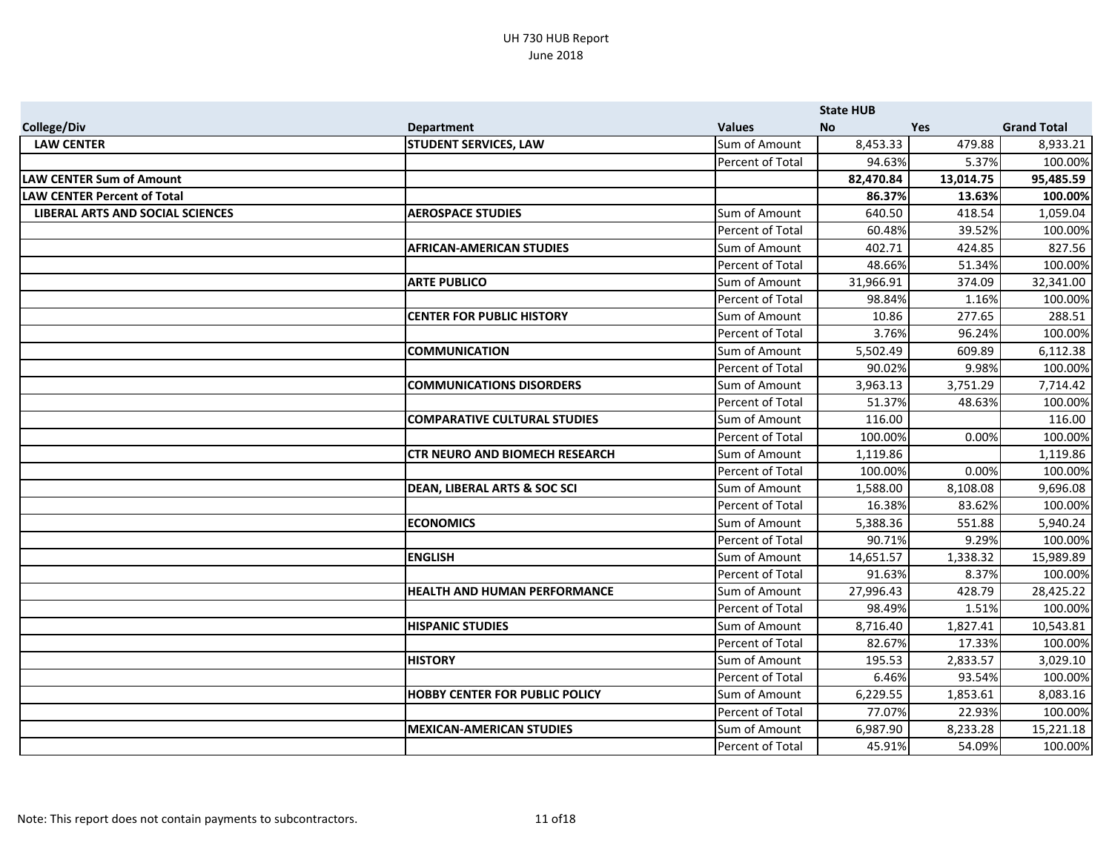|                                         |                                         |                  | <b>State HUB</b> |            |                    |
|-----------------------------------------|-----------------------------------------|------------------|------------------|------------|--------------------|
| <b>College/Div</b>                      | <b>Department</b>                       | <b>Values</b>    | <b>No</b>        | <b>Yes</b> | <b>Grand Total</b> |
| <b>LAW CENTER</b>                       | <b>STUDENT SERVICES, LAW</b>            | Sum of Amount    | 8,453.33         | 479.88     | 8,933.21           |
|                                         |                                         | Percent of Total | 94.63%           | 5.37%      | 100.00%            |
| <b>LAW CENTER Sum of Amount</b>         |                                         |                  | 82,470.84        | 13,014.75  | 95,485.59          |
| <b>LAW CENTER Percent of Total</b>      |                                         |                  | 86.37%           | 13.63%     | 100.00%            |
| <b>LIBERAL ARTS AND SOCIAL SCIENCES</b> | <b>AEROSPACE STUDIES</b>                | Sum of Amount    | 640.50           | 418.54     | 1,059.04           |
|                                         |                                         | Percent of Total | 60.48%           | 39.52%     | 100.00%            |
|                                         | <b>AFRICAN-AMERICAN STUDIES</b>         | Sum of Amount    | 402.71           | 424.85     | 827.56             |
|                                         |                                         | Percent of Total | 48.66%           | 51.34%     | 100.00%            |
|                                         | <b>ARTE PUBLICO</b>                     | Sum of Amount    | 31,966.91        | 374.09     | 32,341.00          |
|                                         |                                         | Percent of Total | 98.84%           | 1.16%      | 100.00%            |
|                                         | <b>CENTER FOR PUBLIC HISTORY</b>        | Sum of Amount    | 10.86            | 277.65     | 288.51             |
|                                         |                                         | Percent of Total | 3.76%            | 96.24%     | 100.00%            |
|                                         | <b>COMMUNICATION</b>                    | Sum of Amount    | 5,502.49         | 609.89     | 6,112.38           |
|                                         |                                         | Percent of Total | 90.02%           | 9.98%      | 100.00%            |
|                                         | <b>COMMUNICATIONS DISORDERS</b>         | Sum of Amount    | 3,963.13         | 3,751.29   | 7,714.42           |
|                                         |                                         | Percent of Total | 51.37%           | 48.63%     | 100.00%            |
|                                         | <b>COMPARATIVE CULTURAL STUDIES</b>     | Sum of Amount    | 116.00           |            | 116.00             |
|                                         |                                         | Percent of Total | 100.00%          | 0.00%      | 100.00%            |
|                                         | <b>CTR NEURO AND BIOMECH RESEARCH</b>   | Sum of Amount    | 1,119.86         |            | 1,119.86           |
|                                         |                                         | Percent of Total | 100.00%          | 0.00%      | 100.00%            |
|                                         | <b>DEAN, LIBERAL ARTS &amp; SOC SCI</b> | Sum of Amount    | 1,588.00         | 8,108.08   | 9,696.08           |
|                                         |                                         | Percent of Total | 16.38%           | 83.62%     | 100.00%            |
|                                         | <b>ECONOMICS</b>                        | Sum of Amount    | 5,388.36         | 551.88     | 5,940.24           |
|                                         |                                         | Percent of Total | 90.71%           | 9.29%      | 100.00%            |
|                                         | <b>ENGLISH</b>                          | Sum of Amount    | 14,651.57        | 1,338.32   | 15,989.89          |
|                                         |                                         | Percent of Total | 91.63%           | 8.37%      | 100.00%            |
|                                         | <b>HEALTH AND HUMAN PERFORMANCE</b>     | Sum of Amount    | 27,996.43        | 428.79     | 28,425.22          |
|                                         |                                         | Percent of Total | 98.49%           | 1.51%      | 100.00%            |
|                                         | <b>HISPANIC STUDIES</b>                 | Sum of Amount    | 8,716.40         | 1,827.41   | 10,543.81          |
|                                         |                                         | Percent of Total | 82.67%           | 17.33%     | 100.00%            |
|                                         | <b>HISTORY</b>                          | Sum of Amount    | 195.53           | 2,833.57   | 3,029.10           |
|                                         |                                         | Percent of Total | 6.46%            | 93.54%     | 100.00%            |
|                                         | <b>HOBBY CENTER FOR PUBLIC POLICY</b>   | Sum of Amount    | 6,229.55         | 1,853.61   | 8,083.16           |
|                                         |                                         | Percent of Total | 77.07%           | 22.93%     | 100.00%            |
|                                         | <b>MEXICAN-AMERICAN STUDIES</b>         | Sum of Amount    | 6,987.90         | 8,233.28   | 15,221.18          |
|                                         |                                         | Percent of Total | 45.91%           | 54.09%     | 100.00%            |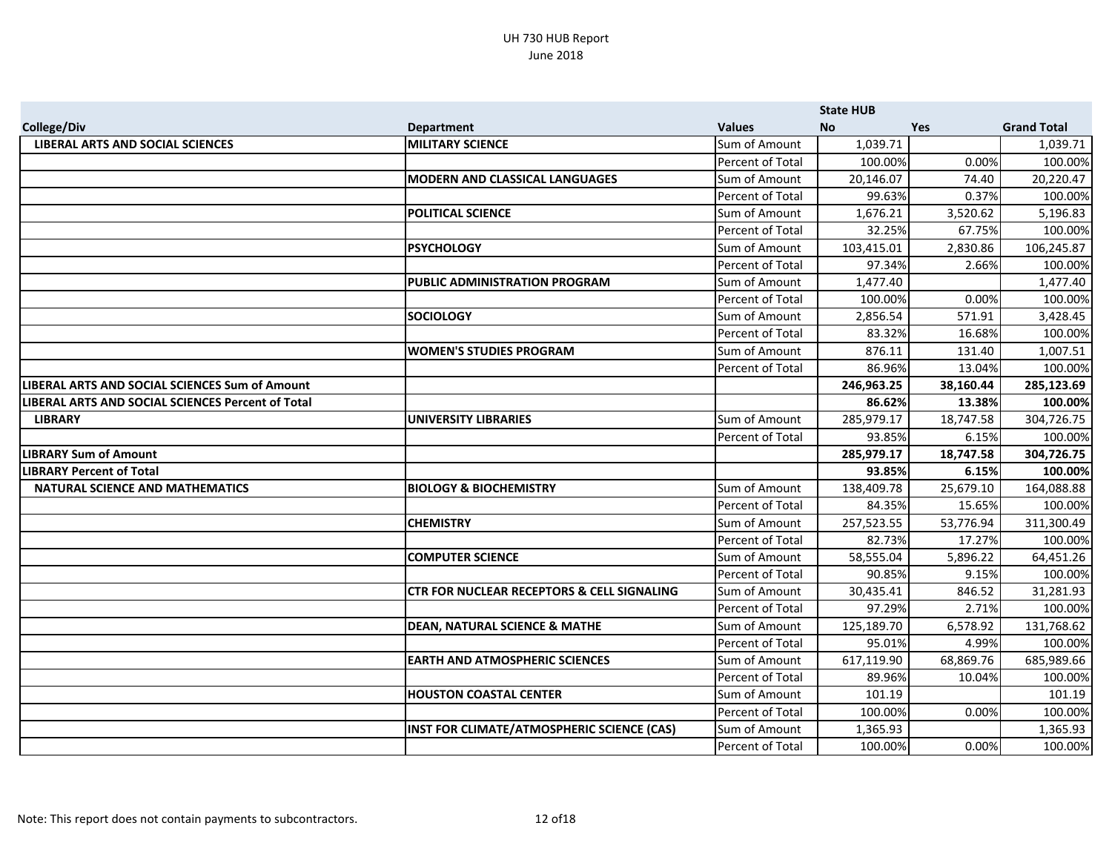|                                                          |                                                       |                  | <b>State HUB</b> |           |                    |
|----------------------------------------------------------|-------------------------------------------------------|------------------|------------------|-----------|--------------------|
| <b>College/Div</b>                                       | <b>Department</b>                                     | <b>Values</b>    | No.              | Yes       | <b>Grand Total</b> |
| <b>LIBERAL ARTS AND SOCIAL SCIENCES</b>                  | <b>MILITARY SCIENCE</b>                               | Sum of Amount    | 1,039.71         |           | 1,039.71           |
|                                                          |                                                       | Percent of Total | 100.00%          | 0.00%     | 100.00%            |
|                                                          | <b>MODERN AND CLASSICAL LANGUAGES</b>                 | Sum of Amount    | 20,146.07        | 74.40     | 20,220.47          |
|                                                          |                                                       | Percent of Total | 99.63%           | 0.37%     | 100.00%            |
|                                                          | <b>POLITICAL SCIENCE</b>                              | Sum of Amount    | 1,676.21         | 3,520.62  | 5,196.83           |
|                                                          |                                                       | Percent of Total | 32.25%           | 67.75%    | 100.00%            |
|                                                          | <b>PSYCHOLOGY</b>                                     | Sum of Amount    | 103,415.01       | 2,830.86  | 106,245.87         |
|                                                          |                                                       | Percent of Total | 97.34%           | 2.66%     | 100.00%            |
|                                                          | PUBLIC ADMINISTRATION PROGRAM                         | Sum of Amount    | 1,477.40         |           | 1,477.40           |
|                                                          |                                                       | Percent of Total | 100.00%          | 0.00%     | 100.00%            |
|                                                          | <b>SOCIOLOGY</b>                                      | Sum of Amount    | 2,856.54         | 571.91    | 3,428.45           |
|                                                          |                                                       | Percent of Total | 83.32%           | 16.68%    | 100.00%            |
|                                                          | <b>WOMEN'S STUDIES PROGRAM</b>                        | Sum of Amount    | 876.11           | 131.40    | 1,007.51           |
|                                                          |                                                       | Percent of Total | 86.96%           | 13.04%    | 100.00%            |
| LIBERAL ARTS AND SOCIAL SCIENCES Sum of Amount           |                                                       |                  | 246,963.25       | 38,160.44 | 285,123.69         |
| <b>LIBERAL ARTS AND SOCIAL SCIENCES Percent of Total</b> |                                                       |                  | 86.62%           | 13.38%    | 100.00%            |
| <b>LIBRARY</b>                                           | <b>UNIVERSITY LIBRARIES</b>                           | Sum of Amount    | 285,979.17       | 18,747.58 | 304,726.75         |
|                                                          |                                                       | Percent of Total | 93.85%           | 6.15%     | 100.00%            |
| <b>LIBRARY Sum of Amount</b>                             |                                                       |                  | 285,979.17       | 18,747.58 | 304,726.75         |
| <b>LIBRARY Percent of Total</b>                          |                                                       |                  | 93.85%           | 6.15%     | 100.00%            |
| <b>NATURAL SCIENCE AND MATHEMATICS</b>                   | <b>BIOLOGY &amp; BIOCHEMISTRY</b>                     | Sum of Amount    | 138,409.78       | 25,679.10 | 164,088.88         |
|                                                          |                                                       | Percent of Total | 84.35%           | 15.65%    | 100.00%            |
|                                                          | <b>CHEMISTRY</b>                                      | Sum of Amount    | 257,523.55       | 53,776.94 | 311,300.49         |
|                                                          |                                                       | Percent of Total | 82.73%           | 17.27%    | 100.00%            |
|                                                          | <b>COMPUTER SCIENCE</b>                               | Sum of Amount    | 58,555.04        | 5,896.22  | 64,451.26          |
|                                                          |                                                       | Percent of Total | 90.85%           | 9.15%     | 100.00%            |
|                                                          | <b>CTR FOR NUCLEAR RECEPTORS &amp; CELL SIGNALING</b> | Sum of Amount    | 30,435.41        | 846.52    | 31,281.93          |
|                                                          |                                                       | Percent of Total | 97.29%           | 2.71%     | 100.00%            |
|                                                          | <b>DEAN, NATURAL SCIENCE &amp; MATHE</b>              | Sum of Amount    | 125,189.70       | 6,578.92  | 131,768.62         |
|                                                          |                                                       | Percent of Total | 95.01%           | 4.99%     | 100.00%            |
|                                                          | <b>EARTH AND ATMOSPHERIC SCIENCES</b>                 | Sum of Amount    | 617,119.90       | 68,869.76 | 685,989.66         |
|                                                          |                                                       | Percent of Total | 89.96%           | 10.04%    | 100.00%            |
|                                                          | <b>HOUSTON COASTAL CENTER</b>                         | Sum of Amount    | 101.19           |           | 101.19             |
|                                                          |                                                       | Percent of Total | 100.00%          | 0.00%     | 100.00%            |
|                                                          | INST FOR CLIMATE/ATMOSPHERIC SCIENCE (CAS)            | Sum of Amount    | 1,365.93         |           | 1,365.93           |
|                                                          |                                                       | Percent of Total | 100.00%          | 0.00%     | 100.00%            |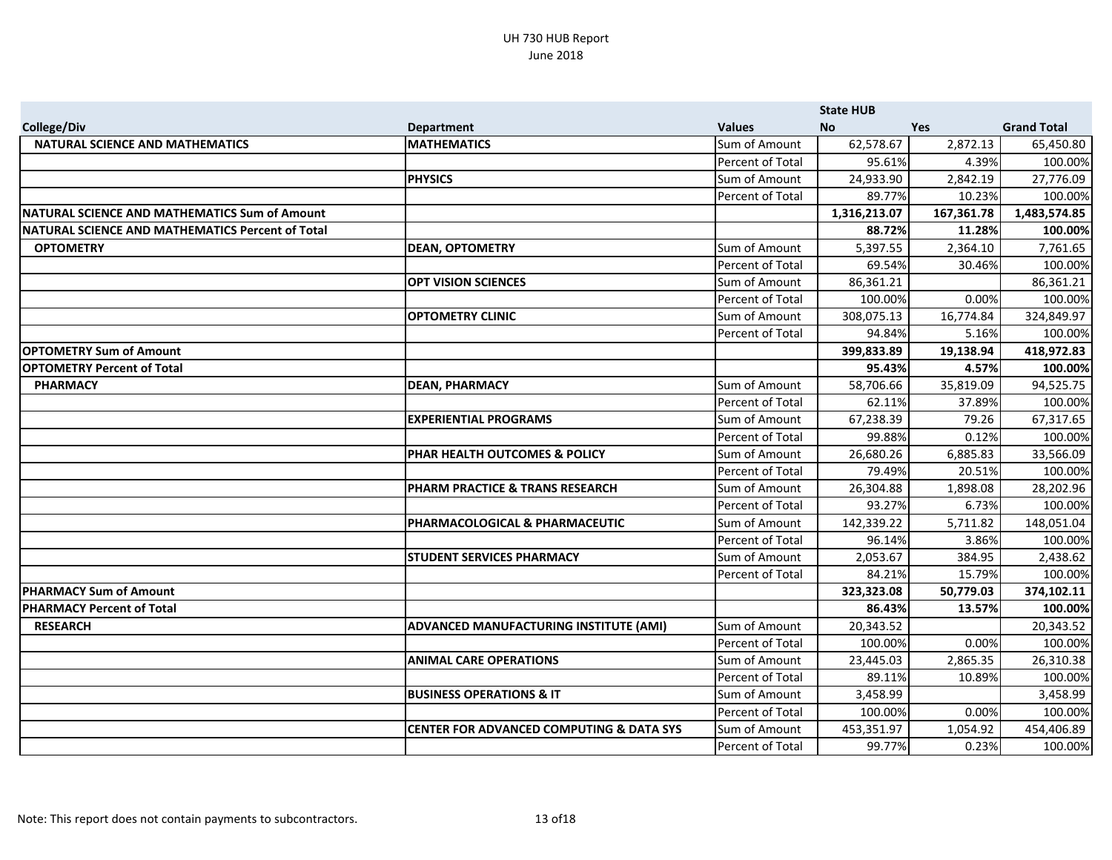|                                                      |                                                     |                  | <b>State HUB</b> |            |                    |
|------------------------------------------------------|-----------------------------------------------------|------------------|------------------|------------|--------------------|
| <b>College/Div</b>                                   | <b>Department</b>                                   | <b>Values</b>    | No.              | <b>Yes</b> | <b>Grand Total</b> |
| <b>NATURAL SCIENCE AND MATHEMATICS</b>               | <b>MATHEMATICS</b>                                  | Sum of Amount    | 62,578.67        | 2,872.13   | 65,450.80          |
|                                                      |                                                     | Percent of Total | 95.61%           | 4.39%      | 100.00%            |
|                                                      | <b>PHYSICS</b>                                      | Sum of Amount    | 24,933.90        | 2,842.19   | 27,776.09          |
|                                                      |                                                     | Percent of Total | 89.77%           | 10.23%     | 100.00%            |
| <b>NATURAL SCIENCE AND MATHEMATICS Sum of Amount</b> |                                                     |                  | 1,316,213.07     | 167,361.78 | 1,483,574.85       |
| NATURAL SCIENCE AND MATHEMATICS Percent of Total     |                                                     |                  | 88.72%           | 11.28%     | 100.00%            |
| <b>OPTOMETRY</b>                                     | <b>DEAN, OPTOMETRY</b>                              | Sum of Amount    | 5,397.55         | 2,364.10   | 7,761.65           |
|                                                      |                                                     | Percent of Total | 69.54%           | 30.46%     | 100.00%            |
|                                                      | <b>OPT VISION SCIENCES</b>                          | Sum of Amount    | 86,361.21        |            | 86,361.21          |
|                                                      |                                                     | Percent of Total | 100.00%          | 0.00%      | 100.00%            |
|                                                      | <b>OPTOMETRY CLINIC</b>                             | Sum of Amount    | 308,075.13       | 16,774.84  | 324,849.97         |
|                                                      |                                                     | Percent of Total | 94.84%           | 5.16%      | 100.00%            |
| <b>OPTOMETRY Sum of Amount</b>                       |                                                     |                  | 399,833.89       | 19,138.94  | 418,972.83         |
| <b>OPTOMETRY Percent of Total</b>                    |                                                     |                  | 95.43%           | 4.57%      | 100.00%            |
| <b>PHARMACY</b>                                      | <b>DEAN, PHARMACY</b>                               | Sum of Amount    | 58,706.66        | 35,819.09  | 94,525.75          |
|                                                      |                                                     | Percent of Total | 62.11%           | 37.89%     | 100.00%            |
|                                                      | <b>EXPERIENTIAL PROGRAMS</b>                        | Sum of Amount    | 67,238.39        | 79.26      | 67,317.65          |
|                                                      |                                                     | Percent of Total | 99.88%           | 0.12%      | 100.00%            |
|                                                      | PHAR HEALTH OUTCOMES & POLICY                       | Sum of Amount    | 26,680.26        | 6,885.83   | 33,566.09          |
|                                                      |                                                     | Percent of Total | 79.49%           | 20.51%     | 100.00%            |
|                                                      | PHARM PRACTICE & TRANS RESEARCH                     | Sum of Amount    | 26,304.88        | 1,898.08   | 28,202.96          |
|                                                      |                                                     | Percent of Total | 93.27%           | 6.73%      | 100.00%            |
|                                                      | PHARMACOLOGICAL & PHARMACEUTIC                      | Sum of Amount    | 142,339.22       | 5,711.82   | 148,051.04         |
|                                                      |                                                     | Percent of Total | 96.14%           | 3.86%      | 100.00%            |
|                                                      | <b>STUDENT SERVICES PHARMACY</b>                    | Sum of Amount    | 2,053.67         | 384.95     | 2,438.62           |
|                                                      |                                                     | Percent of Total | 84.21%           | 15.79%     | 100.00%            |
| <b>PHARMACY Sum of Amount</b>                        |                                                     |                  | 323,323.08       | 50,779.03  | 374,102.11         |
| <b>PHARMACY Percent of Total</b>                     |                                                     |                  | 86.43%           | 13.57%     | 100.00%            |
| <b>RESEARCH</b>                                      | ADVANCED MANUFACTURING INSTITUTE (AMI)              | Sum of Amount    | 20,343.52        |            | 20,343.52          |
|                                                      |                                                     | Percent of Total | 100.00%          | 0.00%      | 100.00%            |
|                                                      | <b>ANIMAL CARE OPERATIONS</b>                       | Sum of Amount    | 23,445.03        | 2,865.35   | 26,310.38          |
|                                                      |                                                     | Percent of Total | 89.11%           | 10.89%     | 100.00%            |
|                                                      | <b>BUSINESS OPERATIONS &amp; IT</b>                 | Sum of Amount    | 3,458.99         |            | 3,458.99           |
|                                                      |                                                     | Percent of Total | 100.00%          | 0.00%      | 100.00%            |
|                                                      | <b>CENTER FOR ADVANCED COMPUTING &amp; DATA SYS</b> | Sum of Amount    | 453,351.97       | 1,054.92   | 454,406.89         |
|                                                      |                                                     | Percent of Total | 99.77%           | 0.23%      | 100.00%            |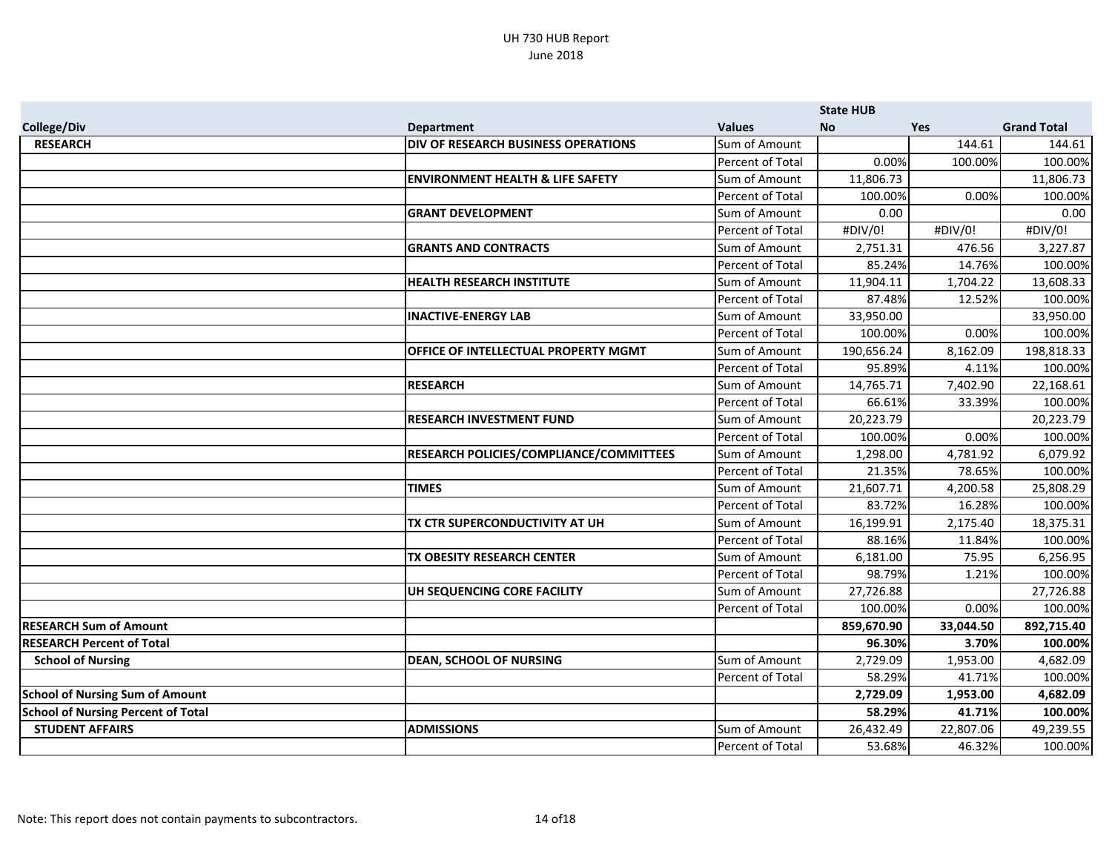|                                           |                                             |                  | <b>State HUB</b> |            |                    |
|-------------------------------------------|---------------------------------------------|------------------|------------------|------------|--------------------|
| <b>College/Div</b>                        | <b>Department</b>                           | <b>Values</b>    | <b>No</b>        | <b>Yes</b> | <b>Grand Total</b> |
| <b>RESEARCH</b>                           | DIV OF RESEARCH BUSINESS OPERATIONS         | Sum of Amount    |                  | 144.61     | 144.61             |
|                                           |                                             | Percent of Total | 0.00%            | 100.00%    | 100.00%            |
|                                           | <b>ENVIRONMENT HEALTH &amp; LIFE SAFETY</b> | Sum of Amount    | 11,806.73        |            | 11,806.73          |
|                                           |                                             | Percent of Total | 100.00%          | 0.00%      | 100.00%            |
|                                           | <b>GRANT DEVELOPMENT</b>                    | Sum of Amount    | 0.00             |            | 0.00               |
|                                           |                                             | Percent of Total | #DIV/0!          | #DIV/0!    | #DIV/0!            |
|                                           | <b>GRANTS AND CONTRACTS</b>                 | Sum of Amount    | 2,751.31         | 476.56     | 3,227.87           |
|                                           |                                             | Percent of Total | 85.24%           | 14.76%     | 100.00%            |
|                                           | <b>HEALTH RESEARCH INSTITUTE</b>            | Sum of Amount    | 11,904.11        | 1,704.22   | 13,608.33          |
|                                           |                                             | Percent of Total | 87.48%           | 12.52%     | 100.00%            |
|                                           | <b>INACTIVE-ENERGY LAB</b>                  | Sum of Amount    | 33,950.00        |            | 33,950.00          |
|                                           |                                             | Percent of Total | 100.00%          | 0.00%      | 100.00%            |
|                                           | <b>OFFICE OF INTELLECTUAL PROPERTY MGMT</b> | Sum of Amount    | 190,656.24       | 8,162.09   | 198,818.33         |
|                                           |                                             | Percent of Total | 95.89%           | 4.11%      | 100.00%            |
|                                           | <b>RESEARCH</b>                             | Sum of Amount    | 14,765.71        | 7,402.90   | 22,168.61          |
|                                           |                                             | Percent of Total | 66.61%           | 33.39%     | 100.00%            |
|                                           | <b>RESEARCH INVESTMENT FUND</b>             | Sum of Amount    | 20,223.79        |            | 20,223.79          |
|                                           |                                             | Percent of Total | 100.00%          | 0.00%      | 100.00%            |
|                                           | RESEARCH POLICIES/COMPLIANCE/COMMITTEES     | Sum of Amount    | 1,298.00         | 4,781.92   | 6,079.92           |
|                                           |                                             | Percent of Total | 21.35%           | 78.65%     | 100.00%            |
|                                           | <b>TIMES</b>                                | Sum of Amount    | 21,607.71        | 4,200.58   | 25,808.29          |
|                                           |                                             | Percent of Total | 83.72%           | 16.28%     | 100.00%            |
|                                           | TX CTR SUPERCONDUCTIVITY AT UH              | Sum of Amount    | 16,199.91        | 2,175.40   | 18,375.31          |
|                                           |                                             | Percent of Total | 88.16%           | 11.84%     | 100.00%            |
|                                           | TX OBESITY RESEARCH CENTER                  | Sum of Amount    | 6,181.00         | 75.95      | 6,256.95           |
|                                           |                                             | Percent of Total | 98.79%           | 1.21%      | 100.00%            |
|                                           | UH SEQUENCING CORE FACILITY                 | Sum of Amount    | 27,726.88        |            | 27,726.88          |
|                                           |                                             | Percent of Total | 100.00%          | 0.00%      | 100.00%            |
| <b>RESEARCH Sum of Amount</b>             |                                             |                  | 859,670.90       | 33,044.50  | 892,715.40         |
| <b>RESEARCH Percent of Total</b>          |                                             |                  | 96.30%           | 3.70%      | 100.00%            |
| <b>School of Nursing</b>                  | <b>DEAN, SCHOOL OF NURSING</b>              | Sum of Amount    | 2,729.09         | 1,953.00   | 4,682.09           |
|                                           |                                             | Percent of Total | 58.29%           | 41.71%     | 100.00%            |
| <b>School of Nursing Sum of Amount</b>    |                                             |                  | 2,729.09         | 1,953.00   | 4,682.09           |
| <b>School of Nursing Percent of Total</b> |                                             |                  | 58.29%           | 41.71%     | 100.00%            |
| <b>STUDENT AFFAIRS</b>                    | <b>ADMISSIONS</b>                           | Sum of Amount    | 26,432.49        | 22,807.06  | 49,239.55          |
|                                           |                                             | Percent of Total | 53.68%           | 46.32%     | 100.00%            |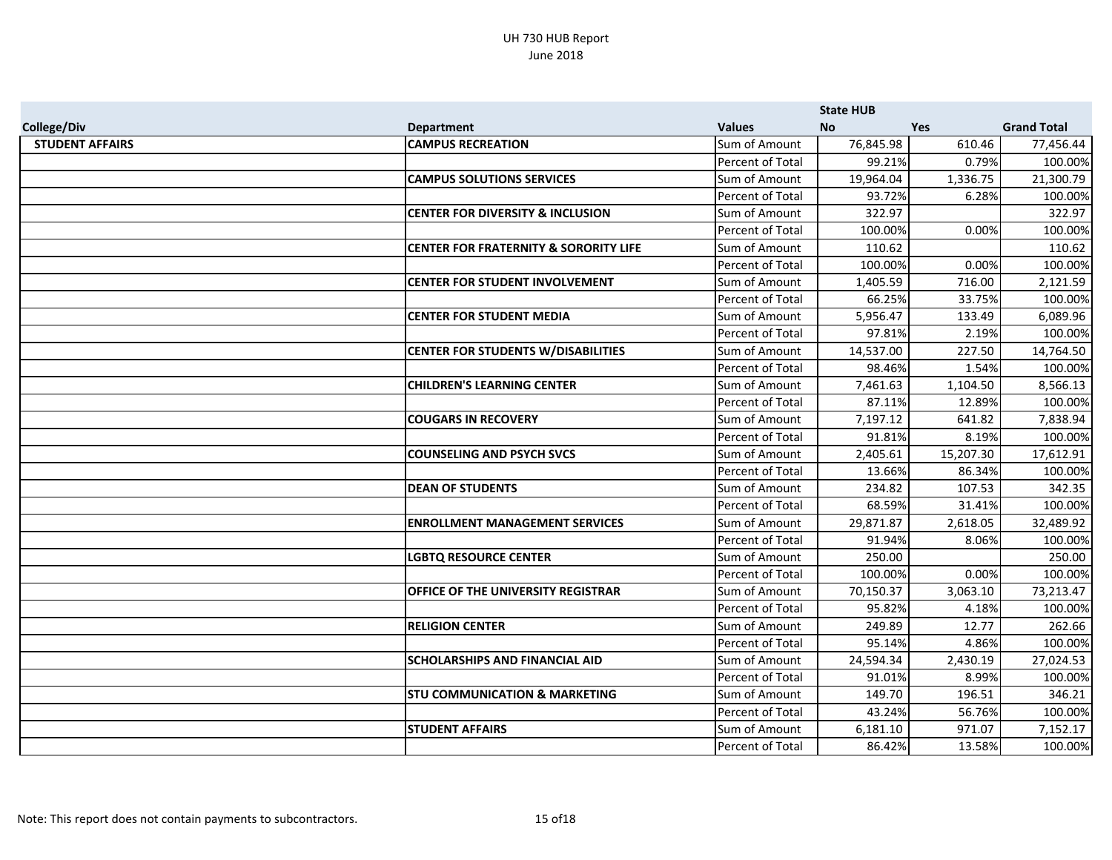|                        |                                                  |                  | <b>State HUB</b> |            |                    |
|------------------------|--------------------------------------------------|------------------|------------------|------------|--------------------|
| <b>College/Div</b>     | <b>Department</b>                                | <b>Values</b>    | <b>No</b>        | <b>Yes</b> | <b>Grand Total</b> |
| <b>STUDENT AFFAIRS</b> | <b>CAMPUS RECREATION</b>                         | Sum of Amount    | 76,845.98        | 610.46     | 77,456.44          |
|                        |                                                  | Percent of Total | 99.21%           | 0.79%      | 100.00%            |
|                        | <b>CAMPUS SOLUTIONS SERVICES</b>                 | Sum of Amount    | 19,964.04        | 1,336.75   | 21,300.79          |
|                        |                                                  | Percent of Total | 93.72%           | 6.28%      | 100.00%            |
|                        | <b>CENTER FOR DIVERSITY &amp; INCLUSION</b>      | Sum of Amount    | 322.97           |            | 322.97             |
|                        |                                                  | Percent of Total | 100.00%          | 0.00%      | 100.00%            |
|                        | <b>CENTER FOR FRATERNITY &amp; SORORITY LIFE</b> | Sum of Amount    | 110.62           |            | 110.62             |
|                        |                                                  | Percent of Total | 100.00%          | 0.00%      | 100.00%            |
|                        | <b>CENTER FOR STUDENT INVOLVEMENT</b>            | Sum of Amount    | 1,405.59         | 716.00     | 2,121.59           |
|                        |                                                  | Percent of Total | 66.25%           | 33.75%     | 100.00%            |
|                        | <b>CENTER FOR STUDENT MEDIA</b>                  | Sum of Amount    | 5,956.47         | 133.49     | 6,089.96           |
|                        |                                                  | Percent of Total | 97.81%           | 2.19%      | 100.00%            |
|                        | <b>CENTER FOR STUDENTS W/DISABILITIES</b>        | Sum of Amount    | 14,537.00        | 227.50     | 14,764.50          |
|                        |                                                  | Percent of Total | 98.46%           | 1.54%      | 100.00%            |
|                        | <b>CHILDREN'S LEARNING CENTER</b>                | Sum of Amount    | 7,461.63         | 1,104.50   | 8,566.13           |
|                        |                                                  | Percent of Total | 87.11%           | 12.89%     | 100.00%            |
|                        | <b>COUGARS IN RECOVERY</b>                       | Sum of Amount    | 7,197.12         | 641.82     | 7,838.94           |
|                        |                                                  | Percent of Total | 91.81%           | 8.19%      | 100.00%            |
|                        | <b>COUNSELING AND PSYCH SVCS</b>                 | Sum of Amount    | 2,405.61         | 15,207.30  | 17,612.91          |
|                        |                                                  | Percent of Total | 13.66%           | 86.34%     | 100.00%            |
|                        | <b>DEAN OF STUDENTS</b>                          | Sum of Amount    | 234.82           | 107.53     | 342.35             |
|                        |                                                  | Percent of Total | 68.59%           | 31.41%     | 100.00%            |
|                        | <b>ENROLLMENT MANAGEMENT SERVICES</b>            | Sum of Amount    | 29,871.87        | 2,618.05   | 32,489.92          |
|                        |                                                  | Percent of Total | 91.94%           | 8.06%      | 100.00%            |
|                        | <b>LGBTQ RESOURCE CENTER</b>                     | Sum of Amount    | 250.00           |            | 250.00             |
|                        |                                                  | Percent of Total | 100.00%          | 0.00%      | 100.00%            |
|                        | OFFICE OF THE UNIVERSITY REGISTRAR               | Sum of Amount    | 70,150.37        | 3,063.10   | 73,213.47          |
|                        |                                                  | Percent of Total | 95.82%           | 4.18%      | 100.00%            |
|                        | <b>RELIGION CENTER</b>                           | Sum of Amount    | 249.89           | 12.77      | 262.66             |
|                        |                                                  | Percent of Total | 95.14%           | 4.86%      | 100.00%            |
|                        | SCHOLARSHIPS AND FINANCIAL AID                   | Sum of Amount    | 24,594.34        | 2,430.19   | 27,024.53          |
|                        |                                                  | Percent of Total | 91.01%           | 8.99%      | 100.00%            |
|                        | <b>STU COMMUNICATION &amp; MARKETING</b>         | Sum of Amount    | 149.70           | 196.51     | 346.21             |
|                        |                                                  | Percent of Total | 43.24%           | 56.76%     | 100.00%            |
|                        | <b>STUDENT AFFAIRS</b>                           | Sum of Amount    | 6,181.10         | 971.07     | 7,152.17           |
|                        |                                                  | Percent of Total | 86.42%           | 13.58%     | 100.00%            |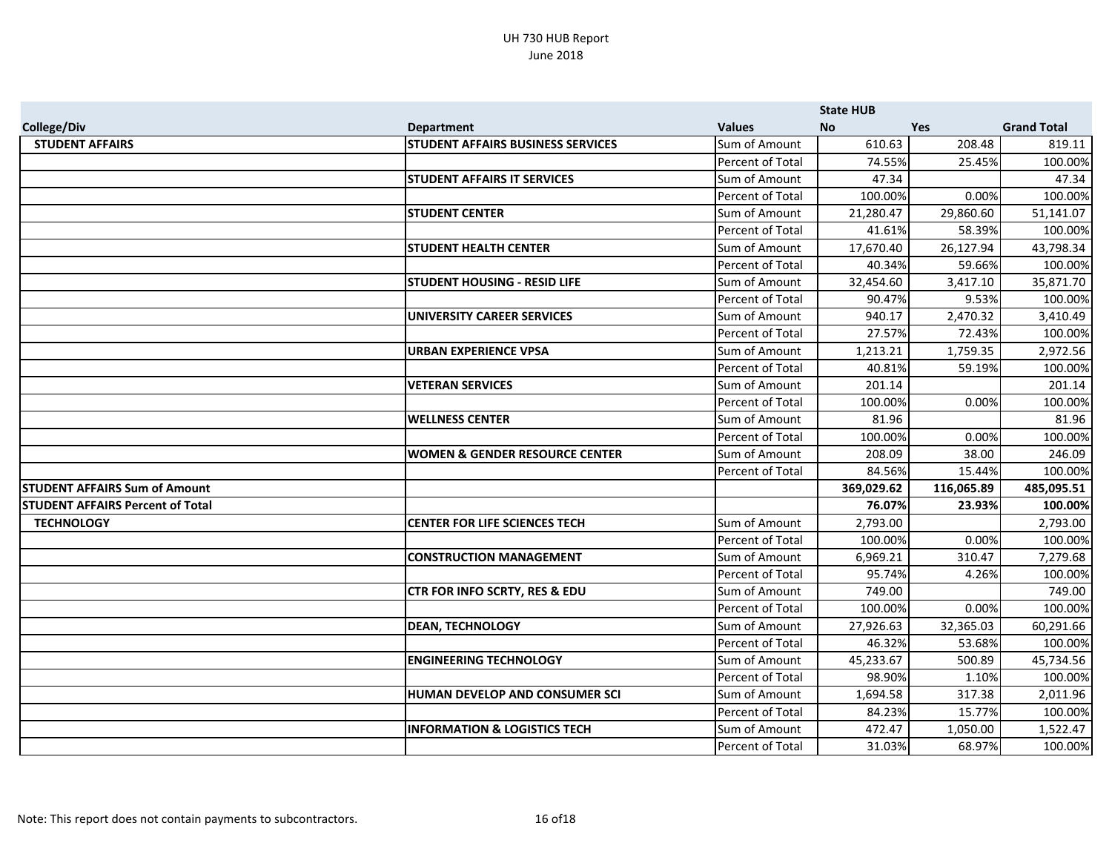|                                         |                                           |                      | <b>State HUB</b> |            |                    |
|-----------------------------------------|-------------------------------------------|----------------------|------------------|------------|--------------------|
| <b>College/Div</b>                      | <b>Department</b>                         | <b>Values</b>        | <b>No</b>        | Yes        | <b>Grand Total</b> |
| <b>STUDENT AFFAIRS</b>                  | <b>STUDENT AFFAIRS BUSINESS SERVICES</b>  | Sum of Amount        | 610.63           | 208.48     | 819.11             |
|                                         |                                           | Percent of Total     | 74.55%           | 25.45%     | 100.00%            |
|                                         | <b>STUDENT AFFAIRS IT SERVICES</b>        | Sum of Amount        | 47.34            |            | 47.34              |
|                                         |                                           | Percent of Total     | 100.00%          | 0.00%      | 100.00%            |
|                                         | <b>STUDENT CENTER</b>                     | Sum of Amount        | 21,280.47        | 29,860.60  | 51,141.07          |
|                                         |                                           | Percent of Total     | 41.61%           | 58.39%     | 100.00%            |
|                                         | <b>STUDENT HEALTH CENTER</b>              | Sum of Amount        | 17,670.40        | 26,127.94  | 43,798.34          |
|                                         |                                           | Percent of Total     | 40.34%           | 59.66%     | 100.00%            |
|                                         | <b>STUDENT HOUSING - RESID LIFE</b>       | Sum of Amount        | 32,454.60        | 3,417.10   | 35,871.70          |
|                                         |                                           | Percent of Total     | 90.47%           | 9.53%      | 100.00%            |
|                                         | UNIVERSITY CAREER SERVICES                | Sum of Amount        | 940.17           | 2,470.32   | 3,410.49           |
|                                         |                                           | Percent of Total     | 27.57%           | 72.43%     | 100.00%            |
|                                         | <b>URBAN EXPERIENCE VPSA</b>              | Sum of Amount        | 1,213.21         | 1,759.35   | 2,972.56           |
|                                         |                                           | Percent of Total     | 40.81%           | 59.19%     | 100.00%            |
|                                         | <b>VETERAN SERVICES</b>                   | Sum of Amount        | 201.14           |            | 201.14             |
|                                         |                                           | Percent of Total     | 100.00%          | 0.00%      | 100.00%            |
|                                         | <b>WELLNESS CENTER</b>                    | Sum of Amount        | 81.96            |            | 81.96              |
|                                         |                                           | Percent of Total     | 100.00%          | 0.00%      | 100.00%            |
|                                         | <b>WOMEN &amp; GENDER RESOURCE CENTER</b> | Sum of Amount        | 208.09           | 38.00      | 246.09             |
|                                         |                                           | Percent of Total     | 84.56%           | 15.44%     | 100.00%            |
| <b>STUDENT AFFAIRS Sum of Amount</b>    |                                           |                      | 369,029.62       | 116,065.89 | 485,095.51         |
| <b>STUDENT AFFAIRS Percent of Total</b> |                                           |                      | 76.07%           | 23.93%     | 100.00%            |
| <b>TECHNOLOGY</b>                       | <b>CENTER FOR LIFE SCIENCES TECH</b>      | Sum of Amount        | 2,793.00         |            | 2,793.00           |
|                                         |                                           | Percent of Total     | 100.00%          | 0.00%      | 100.00%            |
|                                         | <b>CONSTRUCTION MANAGEMENT</b>            | Sum of Amount        | 6,969.21         | 310.47     | 7,279.68           |
|                                         |                                           | Percent of Total     | 95.74%           | 4.26%      | 100.00%            |
|                                         | <b>CTR FOR INFO SCRTY, RES &amp; EDU</b>  | <b>Sum of Amount</b> | 749.00           |            | 749.00             |
|                                         |                                           | Percent of Total     | 100.00%          | 0.00%      | 100.00%            |
|                                         | <b>DEAN, TECHNOLOGY</b>                   | Sum of Amount        | 27,926.63        | 32,365.03  | 60,291.66          |
|                                         |                                           | Percent of Total     | 46.32%           | 53.68%     | 100.00%            |
|                                         | <b>ENGINEERING TECHNOLOGY</b>             | Sum of Amount        | 45,233.67        | 500.89     | 45,734.56          |
|                                         |                                           | Percent of Total     | 98.90%           | 1.10%      | 100.00%            |
|                                         | HUMAN DEVELOP AND CONSUMER SCI            | Sum of Amount        | 1,694.58         | 317.38     | 2,011.96           |
|                                         |                                           | Percent of Total     | 84.23%           | 15.77%     | 100.00%            |
|                                         | <b>INFORMATION &amp; LOGISTICS TECH</b>   | Sum of Amount        | 472.47           | 1,050.00   | 1,522.47           |
|                                         |                                           | Percent of Total     | 31.03%           | 68.97%     | 100.00%            |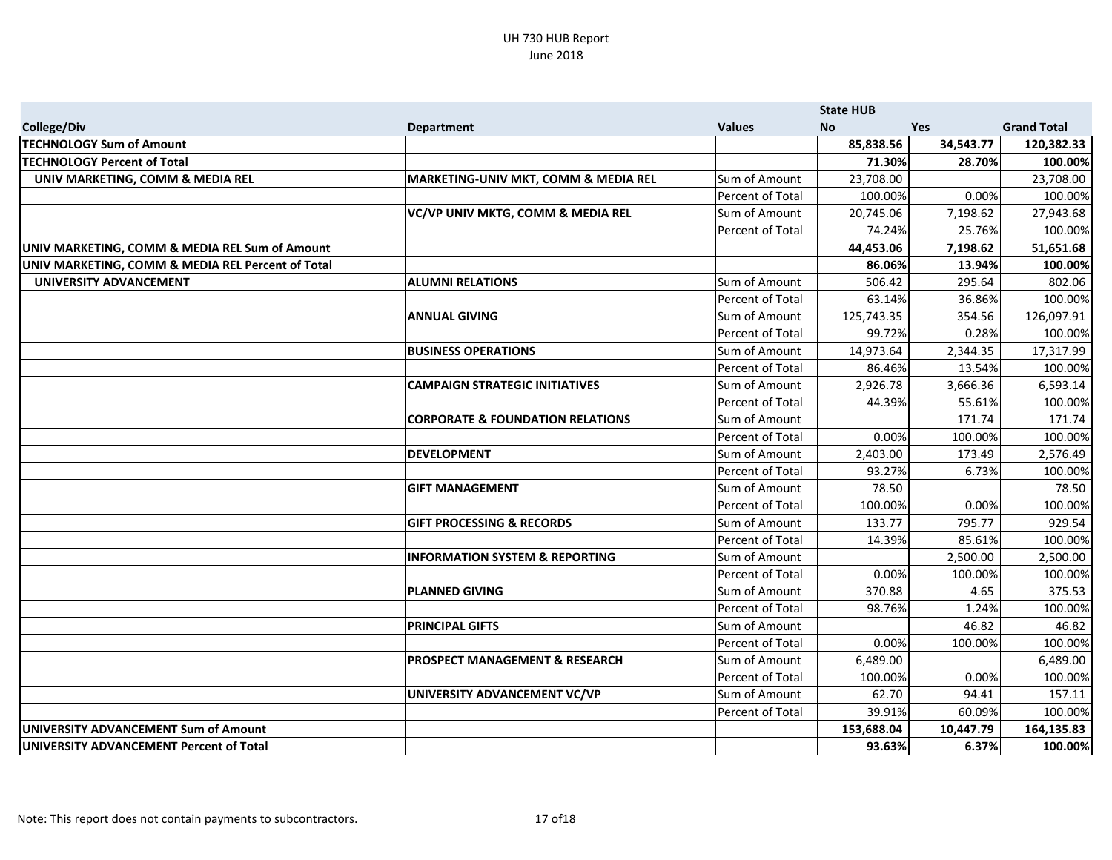|                                                   |                                                 |                      | <b>State HUB</b> |           |                    |
|---------------------------------------------------|-------------------------------------------------|----------------------|------------------|-----------|--------------------|
| <b>College/Div</b>                                | <b>Department</b>                               | <b>Values</b>        | No.              | Yes       | <b>Grand Total</b> |
| <b>TECHNOLOGY Sum of Amount</b>                   |                                                 |                      | 85,838.56        | 34,543.77 | 120,382.33         |
| <b>TECHNOLOGY Percent of Total</b>                |                                                 |                      | 71.30%           | 28.70%    | 100.00%            |
| UNIV MARKETING, COMM & MEDIA REL                  | <b>MARKETING-UNIV MKT, COMM &amp; MEDIA REL</b> | Sum of Amount        | 23,708.00        |           | 23,708.00          |
|                                                   |                                                 | Percent of Total     | 100.00%          | 0.00%     | 100.00%            |
|                                                   | VC/VP UNIV MKTG, COMM & MEDIA REL               | Sum of Amount        | 20,745.06        | 7,198.62  | 27,943.68          |
|                                                   |                                                 | Percent of Total     | 74.24%           | 25.76%    | 100.00%            |
| UNIV MARKETING, COMM & MEDIA REL Sum of Amount    |                                                 |                      | 44,453.06        | 7,198.62  | 51,651.68          |
| UNIV MARKETING, COMM & MEDIA REL Percent of Total |                                                 |                      | 86.06%           | 13.94%    | 100.00%            |
| UNIVERSITY ADVANCEMENT                            | <b>ALUMNI RELATIONS</b>                         | Sum of Amount        | 506.42           | 295.64    | 802.06             |
|                                                   |                                                 | Percent of Total     | 63.14%           | 36.86%    | 100.00%            |
|                                                   | <b>ANNUAL GIVING</b>                            | Sum of Amount        | 125,743.35       | 354.56    | 126,097.91         |
|                                                   |                                                 | Percent of Total     | 99.72%           | 0.28%     | 100.00%            |
|                                                   | <b>BUSINESS OPERATIONS</b>                      | <b>Sum of Amount</b> | 14,973.64        | 2,344.35  | 17,317.99          |
|                                                   |                                                 | Percent of Total     | 86.46%           | 13.54%    | 100.00%            |
|                                                   | <b>CAMPAIGN STRATEGIC INITIATIVES</b>           | Sum of Amount        | 2,926.78         | 3,666.36  | 6,593.14           |
|                                                   |                                                 | Percent of Total     | 44.39%           | 55.61%    | 100.00%            |
|                                                   | <b>CORPORATE &amp; FOUNDATION RELATIONS</b>     | Sum of Amount        |                  | 171.74    | 171.74             |
|                                                   |                                                 | Percent of Total     | 0.00%            | 100.00%   | 100.00%            |
|                                                   | <b>DEVELOPMENT</b>                              | Sum of Amount        | 2,403.00         | 173.49    | 2,576.49           |
|                                                   |                                                 | Percent of Total     | 93.27%           | 6.73%     | 100.00%            |
|                                                   | <b>GIFT MANAGEMENT</b>                          | Sum of Amount        | 78.50            |           | 78.50              |
|                                                   |                                                 | Percent of Total     | 100.00%          | 0.00%     | 100.00%            |
|                                                   | <b>GIFT PROCESSING &amp; RECORDS</b>            | Sum of Amount        | 133.77           | 795.77    | 929.54             |
|                                                   |                                                 | Percent of Total     | 14.39%           | 85.61%    | 100.00%            |
|                                                   | <b>INFORMATION SYSTEM &amp; REPORTING</b>       | Sum of Amount        |                  | 2,500.00  | 2,500.00           |
|                                                   |                                                 | Percent of Total     | 0.00%            | 100.00%   | 100.00%            |
|                                                   | <b>PLANNED GIVING</b>                           | Sum of Amount        | 370.88           | 4.65      | 375.53             |
|                                                   |                                                 | Percent of Total     | 98.76%           | 1.24%     | 100.00%            |
|                                                   | <b>PRINCIPAL GIFTS</b>                          | Sum of Amount        |                  | 46.82     | 46.82              |
|                                                   |                                                 | Percent of Total     | 0.00%            | 100.00%   | 100.00%            |
|                                                   | <b>PROSPECT MANAGEMENT &amp; RESEARCH</b>       | Sum of Amount        | 6,489.00         |           | 6,489.00           |
|                                                   |                                                 | Percent of Total     | 100.00%          | 0.00%     | 100.00%            |
|                                                   | UNIVERSITY ADVANCEMENT VC/VP                    | Sum of Amount        | 62.70            | 94.41     | 157.11             |
|                                                   |                                                 | Percent of Total     | 39.91%           | 60.09%    | 100.00%            |
| UNIVERSITY ADVANCEMENT Sum of Amount              |                                                 |                      | 153,688.04       | 10,447.79 | 164,135.83         |
| UNIVERSITY ADVANCEMENT Percent of Total           |                                                 |                      | 93.63%           | 6.37%     | 100.00%            |